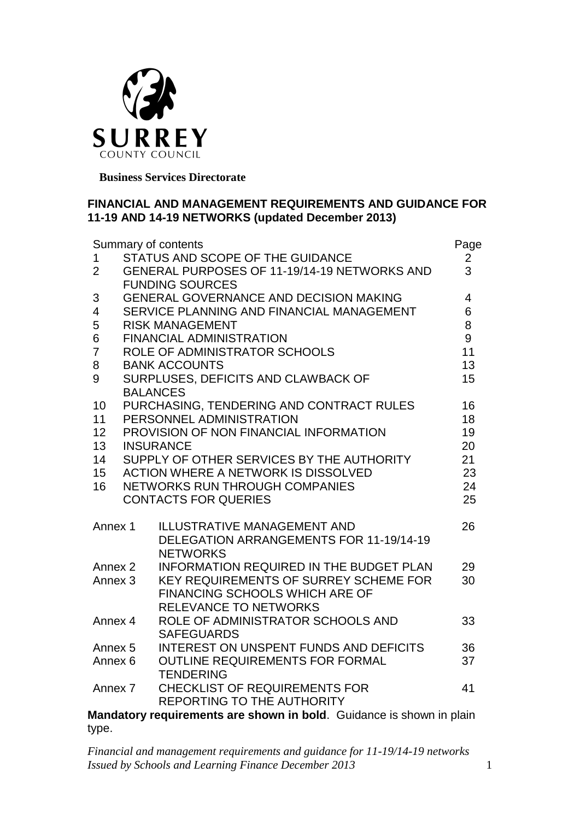

 **Business Services Directorate**

### **FINANCIAL AND MANAGEMENT REQUIREMENTS AND GUIDANCE FOR 11-19 AND 14-19 NETWORKS (updated December 2013)**

| Summary of contents |                                              |                                                                      |                |  |
|---------------------|----------------------------------------------|----------------------------------------------------------------------|----------------|--|
| $\mathbf{1}$        | STATUS AND SCOPE OF THE GUIDANCE             |                                                                      |                |  |
| $\overline{2}$      | GENERAL PURPOSES OF 11-19/14-19 NETWORKS AND |                                                                      |                |  |
|                     |                                              | <b>FUNDING SOURCES</b>                                               |                |  |
| 3                   |                                              | <b>GENERAL GOVERNANCE AND DECISION MAKING</b>                        | $\overline{4}$ |  |
| $\overline{4}$      | SERVICE PLANNING AND FINANCIAL MANAGEMENT    |                                                                      | 6              |  |
| 5                   | <b>RISK MANAGEMENT</b>                       |                                                                      |                |  |
| 6                   | <b>FINANCIAL ADMINISTRATION</b>              |                                                                      |                |  |
| $\overline{7}$      | ROLE OF ADMINISTRATOR SCHOOLS                |                                                                      |                |  |
| 8                   | <b>BANK ACCOUNTS</b>                         |                                                                      |                |  |
| 9                   | SURPLUSES, DEFICITS AND CLAWBACK OF          |                                                                      |                |  |
|                     |                                              | <b>BALANCES</b>                                                      | 15             |  |
| 10                  |                                              | PURCHASING, TENDERING AND CONTRACT RULES                             | 16             |  |
| 11                  | PERSONNEL ADMINISTRATION<br>18               |                                                                      |                |  |
| 12                  | PROVISION OF NON FINANCIAL INFORMATION       |                                                                      |                |  |
| 13                  | <b>INSURANCE</b>                             |                                                                      |                |  |
| 14                  | SUPPLY OF OTHER SERVICES BY THE AUTHORITY    |                                                                      |                |  |
| 15                  |                                              | <b>ACTION WHERE A NETWORK IS DISSOLVED</b>                           | 21<br>23       |  |
| 16                  |                                              | NETWORKS RUN THROUGH COMPANIES                                       | 24             |  |
|                     |                                              | <b>CONTACTS FOR QUERIES</b>                                          | 25             |  |
|                     |                                              |                                                                      |                |  |
| Annex 1             |                                              | <b>ILLUSTRATIVE MANAGEMENT AND</b>                                   | 26             |  |
|                     |                                              | DELEGATION ARRANGEMENTS FOR 11-19/14-19                              |                |  |
|                     |                                              | <b>NETWORKS</b>                                                      |                |  |
|                     | Annex <sub>2</sub>                           | <b>INFORMATION REQUIRED IN THE BUDGET PLAN</b>                       | 29             |  |
| Annex <sub>3</sub>  |                                              | <b>KEY REQUIREMENTS OF SURREY SCHEME FOR</b>                         | 30             |  |
|                     |                                              | <b>FINANCING SCHOOLS WHICH ARE OF</b>                                |                |  |
|                     |                                              | <b>RELEVANCE TO NETWORKS</b>                                         |                |  |
| Annex 4             |                                              | ROLE OF ADMINISTRATOR SCHOOLS AND                                    | 33             |  |
|                     |                                              | <b>SAFEGUARDS</b>                                                    |                |  |
| Annex <sub>5</sub>  |                                              | <b>INTEREST ON UNSPENT FUNDS AND DEFICITS</b>                        | 36             |  |
| Annex <sub>6</sub>  |                                              | <b>OUTLINE REQUIREMENTS FOR FORMAL</b>                               | 37             |  |
|                     |                                              | <b>TENDERING</b>                                                     |                |  |
| Annex 7             |                                              | <b>CHECKLIST OF REQUIREMENTS FOR</b>                                 | 41             |  |
|                     |                                              | <b>REPORTING TO THE AUTHORITY</b>                                    |                |  |
|                     |                                              | Mandatory requirements are shown in bold. Guidance is shown in plain |                |  |
| type.               |                                              |                                                                      |                |  |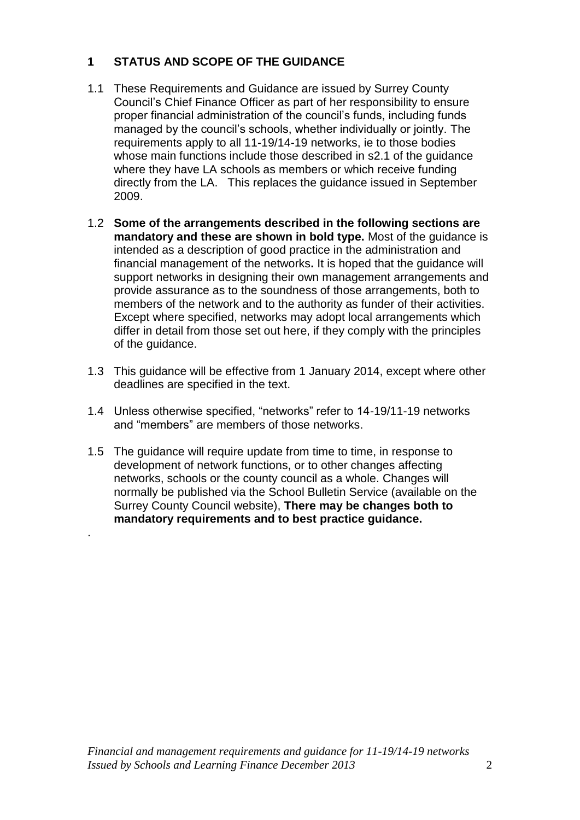# **1 STATUS AND SCOPE OF THE GUIDANCE**

- 1.1 These Requirements and Guidance are issued by Surrey County Council's Chief Finance Officer as part of her responsibility to ensure proper financial administration of the council's funds, including funds managed by the council's schools, whether individually or jointly. The requirements apply to all 11-19/14-19 networks, ie to those bodies whose main functions include those described in s2.1 of the guidance where they have LA schools as members or which receive funding directly from the LA. This replaces the guidance issued in September 2009.
- 1.2 **Some of the arrangements described in the following sections are mandatory and these are shown in bold type.** Most of the guidance is intended as a description of good practice in the administration and financial management of the networks**.** It is hoped that the guidance will support networks in designing their own management arrangements and provide assurance as to the soundness of those arrangements, both to members of the network and to the authority as funder of their activities. Except where specified, networks may adopt local arrangements which differ in detail from those set out here, if they comply with the principles of the guidance.
- 1.3 This guidance will be effective from 1 January 2014, except where other deadlines are specified in the text.
- 1.4 Unless otherwise specified, "networks" refer to 14-19/11-19 networks and "members" are members of those networks.
- 1.5 The guidance will require update from time to time, in response to development of network functions, or to other changes affecting networks, schools or the county council as a whole. Changes will normally be published via the School Bulletin Service (available on the Surrey County Council website), **There may be changes both to mandatory requirements and to best practice guidance.**

.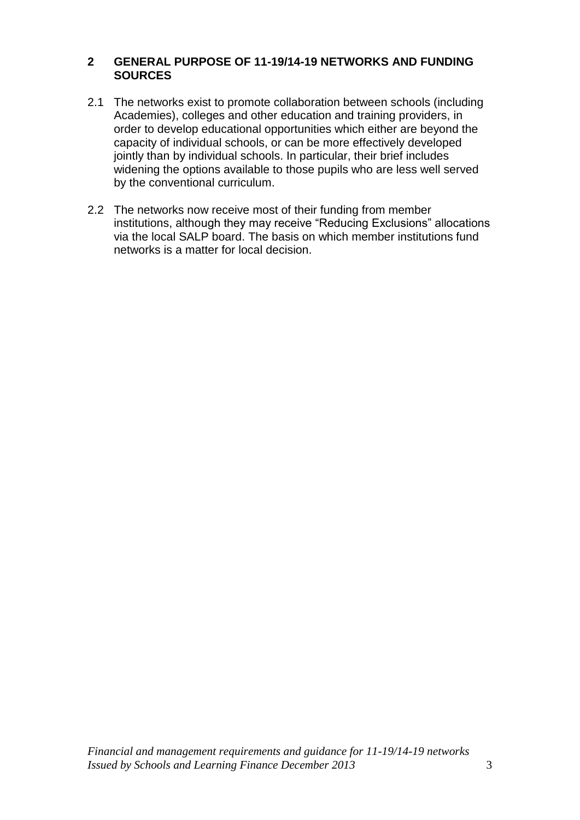### **2 GENERAL PURPOSE OF 11-19/14-19 NETWORKS AND FUNDING SOURCES**

- 2.1 The networks exist to promote collaboration between schools (including Academies), colleges and other education and training providers, in order to develop educational opportunities which either are beyond the capacity of individual schools, or can be more effectively developed jointly than by individual schools. In particular, their brief includes widening the options available to those pupils who are less well served by the conventional curriculum.
- 2.2 The networks now receive most of their funding from member institutions, although they may receive "Reducing Exclusions" allocations via the local SALP board. The basis on which member institutions fund networks is a matter for local decision.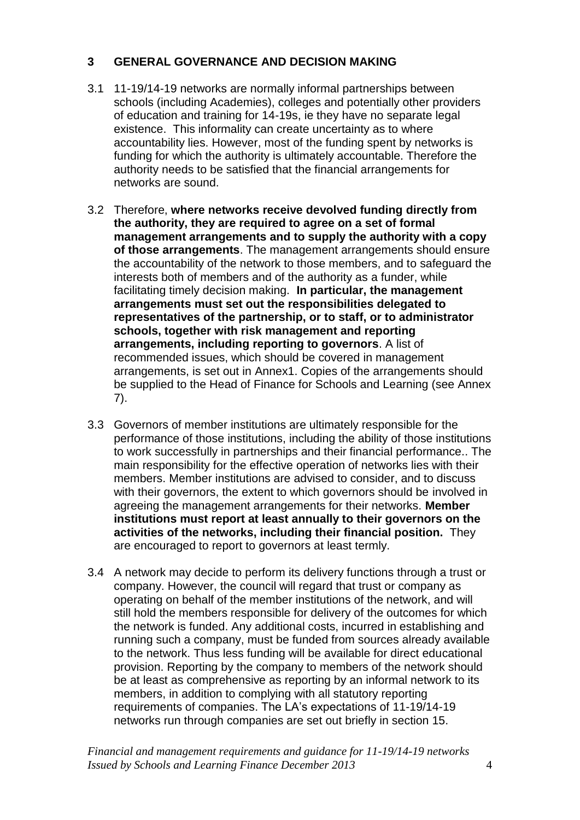# **3 GENERAL GOVERNANCE AND DECISION MAKING**

- 3.1 11-19/14-19 networks are normally informal partnerships between schools (including Academies), colleges and potentially other providers of education and training for 14-19s, ie they have no separate legal existence. This informality can create uncertainty as to where accountability lies. However, most of the funding spent by networks is funding for which the authority is ultimately accountable. Therefore the authority needs to be satisfied that the financial arrangements for networks are sound.
- 3.2 Therefore, **where networks receive devolved funding directly from the authority, they are required to agree on a set of formal management arrangements and to supply the authority with a copy of those arrangements**. The management arrangements should ensure the accountability of the network to those members, and to safeguard the interests both of members and of the authority as a funder, while facilitating timely decision making. **In particular, the management arrangements must set out the responsibilities delegated to representatives of the partnership, or to staff, or to administrator schools, together with risk management and reporting arrangements, including reporting to governors**. A list of recommended issues, which should be covered in management arrangements, is set out in Annex1. Copies of the arrangements should be supplied to the Head of Finance for Schools and Learning (see Annex 7).
- 3.3 Governors of member institutions are ultimately responsible for the performance of those institutions, including the ability of those institutions to work successfully in partnerships and their financial performance.. The main responsibility for the effective operation of networks lies with their members. Member institutions are advised to consider, and to discuss with their governors, the extent to which governors should be involved in agreeing the management arrangements for their networks. **Member institutions must report at least annually to their governors on the activities of the networks, including their financial position.** They are encouraged to report to governors at least termly.
- 3.4 A network may decide to perform its delivery functions through a trust or company. However, the council will regard that trust or company as operating on behalf of the member institutions of the network, and will still hold the members responsible for delivery of the outcomes for which the network is funded. Any additional costs, incurred in establishing and running such a company, must be funded from sources already available to the network. Thus less funding will be available for direct educational provision. Reporting by the company to members of the network should be at least as comprehensive as reporting by an informal network to its members, in addition to complying with all statutory reporting requirements of companies. The LA's expectations of 11-19/14-19 networks run through companies are set out briefly in section 15.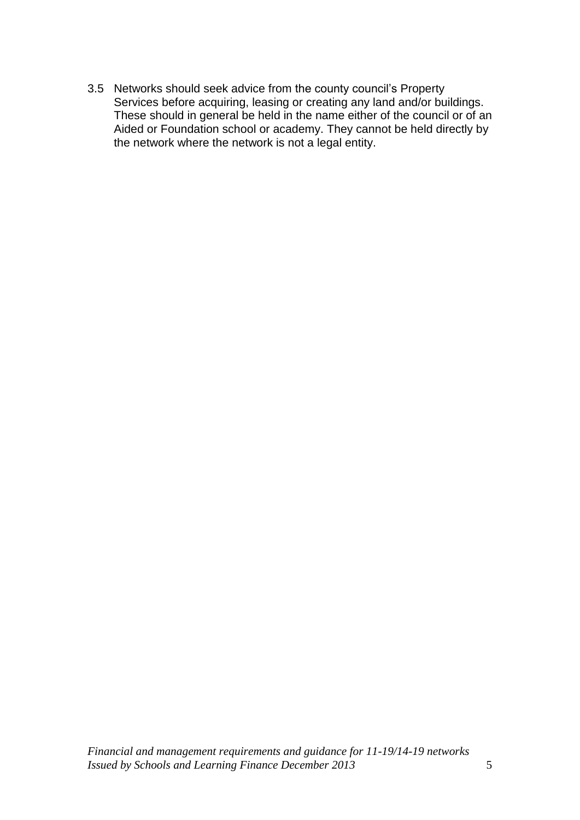3.5 Networks should seek advice from the county council's Property Services before acquiring, leasing or creating any land and/or buildings. These should in general be held in the name either of the council or of an Aided or Foundation school or academy. They cannot be held directly by the network where the network is not a legal entity.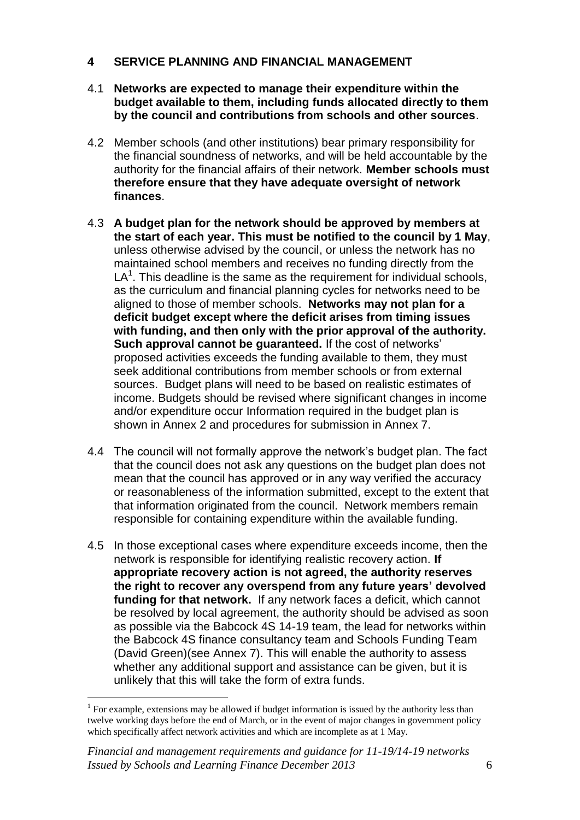## **4 SERVICE PLANNING AND FINANCIAL MANAGEMENT**

- 4.1 **Networks are expected to manage their expenditure within the budget available to them, including funds allocated directly to them by the council and contributions from schools and other sources**.
- 4.2 Member schools (and other institutions) bear primary responsibility for the financial soundness of networks, and will be held accountable by the authority for the financial affairs of their network. **Member schools must therefore ensure that they have adequate oversight of network finances**.
- 4.3 **A budget plan for the network should be approved by members at the start of each year. This must be notified to the council by 1 May**, unless otherwise advised by the council, or unless the network has no maintained school members and receives no funding directly from the  $LA<sup>1</sup>$ . This deadline is the same as the requirement for individual schools, as the curriculum and financial planning cycles for networks need to be aligned to those of member schools. **Networks may not plan for a deficit budget except where the deficit arises from timing issues with funding, and then only with the prior approval of the authority. Such approval cannot be guaranteed.** If the cost of networks' proposed activities exceeds the funding available to them, they must seek additional contributions from member schools or from external sources. Budget plans will need to be based on realistic estimates of income. Budgets should be revised where significant changes in income and/or expenditure occur Information required in the budget plan is shown in Annex 2 and procedures for submission in Annex 7.
- 4.4 The council will not formally approve the network's budget plan. The fact that the council does not ask any questions on the budget plan does not mean that the council has approved or in any way verified the accuracy or reasonableness of the information submitted, except to the extent that that information originated from the council. Network members remain responsible for containing expenditure within the available funding.
- 4.5 In those exceptional cases where expenditure exceeds income, then the network is responsible for identifying realistic recovery action. **If appropriate recovery action is not agreed, the authority reserves the right to recover any overspend from any future years' devolved funding for that network.** If any network faces a deficit, which cannot be resolved by local agreement, the authority should be advised as soon as possible via the Babcock 4S 14-19 team, the lead for networks within the Babcock 4S finance consultancy team and Schools Funding Team (David Green)(see Annex 7). This will enable the authority to assess whether any additional support and assistance can be given, but it is unlikely that this will take the form of extra funds.

 $\overline{a}$ 

 $<sup>1</sup>$  For example, extensions may be allowed if budget information is issued by the authority less than</sup> twelve working days before the end of March, or in the event of major changes in government policy which specifically affect network activities and which are incomplete as at 1 May.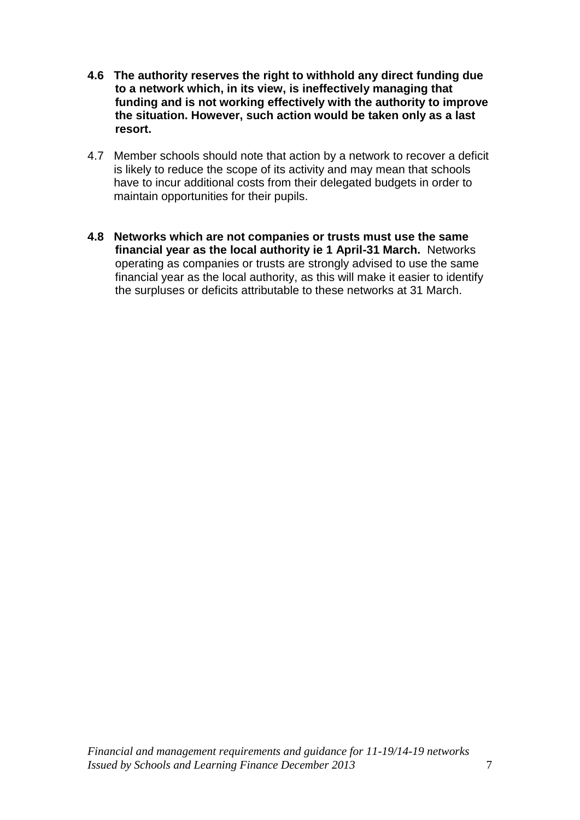- **4.6 The authority reserves the right to withhold any direct funding due to a network which, in its view, is ineffectively managing that funding and is not working effectively with the authority to improve the situation. However, such action would be taken only as a last resort.**
- 4.7 Member schools should note that action by a network to recover a deficit is likely to reduce the scope of its activity and may mean that schools have to incur additional costs from their delegated budgets in order to maintain opportunities for their pupils.
- **4.8 Networks which are not companies or trusts must use the same financial year as the local authority ie 1 April-31 March.** Networks operating as companies or trusts are strongly advised to use the same financial year as the local authority, as this will make it easier to identify the surpluses or deficits attributable to these networks at 31 March.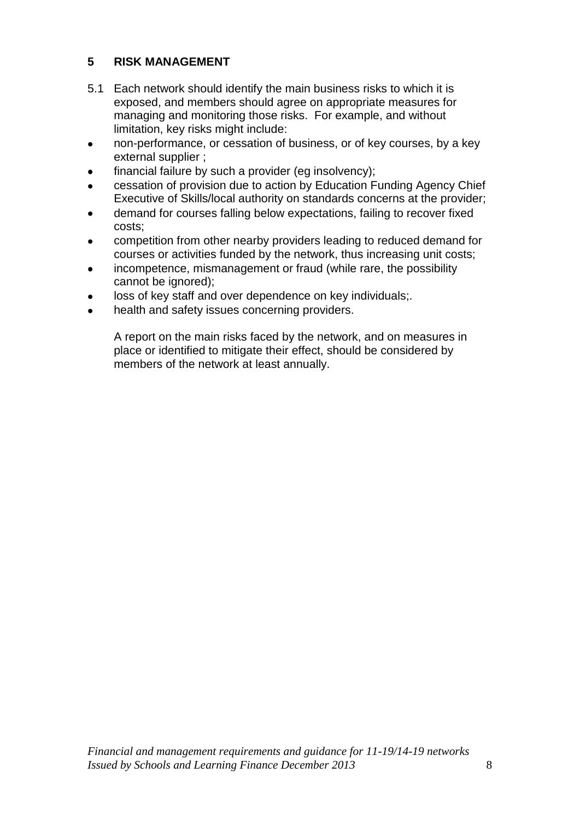# **5 RISK MANAGEMENT**

- 5.1 Each network should identify the main business risks to which it is exposed, and members should agree on appropriate measures for managing and monitoring those risks. For example, and without limitation, key risks might include:
- non-performance, or cessation of business, or of key courses, by a key  $\bullet$ external supplier ;
- financial failure by such a provider (eg insolvency);  $\bullet$
- cessation of provision due to action by Education Funding Agency Chief  $\bullet$ Executive of Skills/local authority on standards concerns at the provider;
- demand for courses falling below expectations, failing to recover fixed costs;
- competition from other nearby providers leading to reduced demand for courses or activities funded by the network, thus increasing unit costs;
- incompetence, mismanagement or fraud (while rare, the possibility cannot be ignored);
- loss of key staff and over dependence on key individuals;.
- health and safety issues concerning providers.  $\bullet$

A report on the main risks faced by the network, and on measures in place or identified to mitigate their effect, should be considered by members of the network at least annually.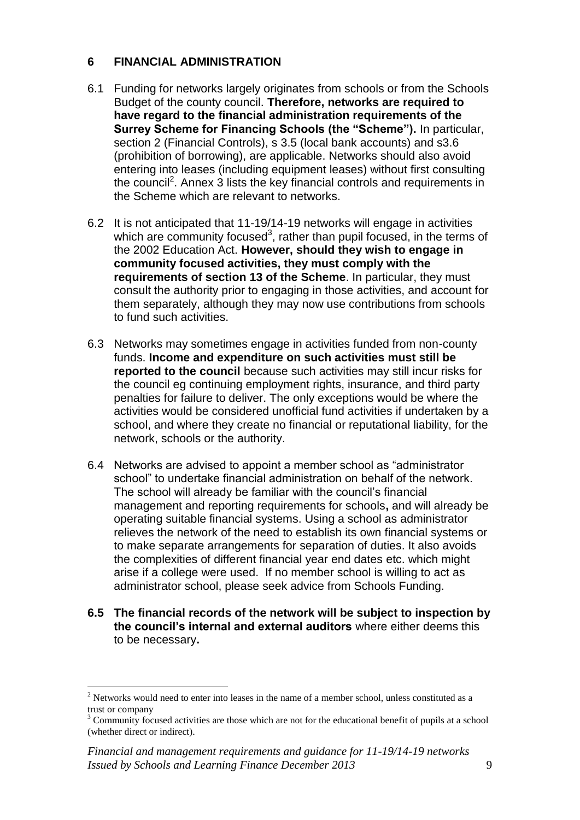## **6 FINANCIAL ADMINISTRATION**

- 6.1 Funding for networks largely originates from schools or from the Schools Budget of the county council. **Therefore, networks are required to have regard to the financial administration requirements of the Surrey Scheme for Financing Schools (the "Scheme").** In particular, section 2 (Financial Controls), s 3.5 (local bank accounts) and s3.6 (prohibition of borrowing), are applicable. Networks should also avoid entering into leases (including equipment leases) without first consulting the council<sup>2</sup>. Annex 3 lists the key financial controls and requirements in the Scheme which are relevant to networks.
- 6.2 It is not anticipated that 11-19/14-19 networks will engage in activities which are community focused<sup>3</sup>, rather than pupil focused, in the terms of the 2002 Education Act. **However, should they wish to engage in community focused activities, they must comply with the requirements of section 13 of the Scheme**. In particular, they must consult the authority prior to engaging in those activities, and account for them separately, although they may now use contributions from schools to fund such activities.
- 6.3 Networks may sometimes engage in activities funded from non-county funds. **Income and expenditure on such activities must still be reported to the council** because such activities may still incur risks for the council eg continuing employment rights, insurance, and third party penalties for failure to deliver. The only exceptions would be where the activities would be considered unofficial fund activities if undertaken by a school, and where they create no financial or reputational liability, for the network, schools or the authority.
- 6.4 Networks are advised to appoint a member school as "administrator school" to undertake financial administration on behalf of the network. The school will already be familiar with the council's financial management and reporting requirements for schools**,** and will already be operating suitable financial systems. Using a school as administrator relieves the network of the need to establish its own financial systems or to make separate arrangements for separation of duties. It also avoids the complexities of different financial year end dates etc. which might arise if a college were used. If no member school is willing to act as administrator school, please seek advice from Schools Funding.
- **6.5 The financial records of the network will be subject to inspection by the council's internal and external auditors** where either deems this to be necessary**.**

 $\overline{a}$ 

 $2$  Networks would need to enter into leases in the name of a member school, unless constituted as a trust or company

 $3$  Community focused activities are those which are not for the educational benefit of pupils at a school (whether direct or indirect).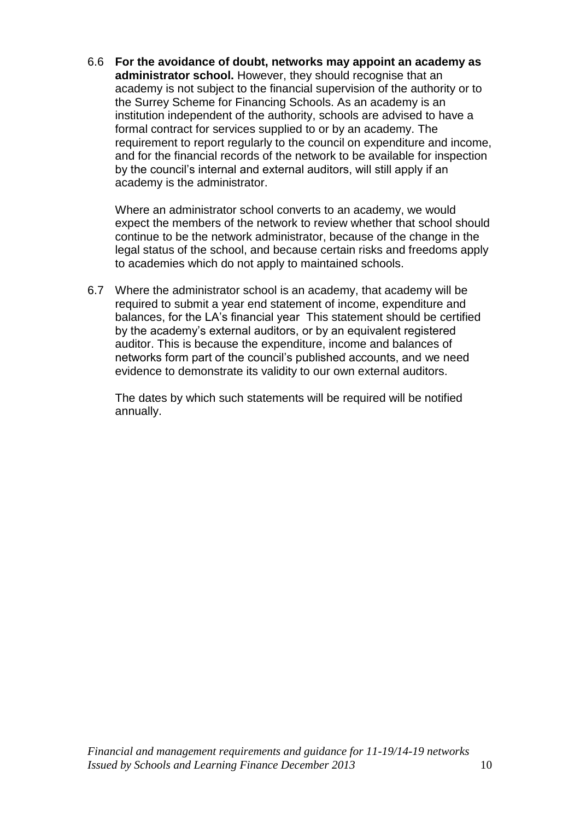6.6 **For the avoidance of doubt, networks may appoint an academy as administrator school.** However, they should recognise that an academy is not subject to the financial supervision of the authority or to the Surrey Scheme for Financing Schools. As an academy is an institution independent of the authority, schools are advised to have a formal contract for services supplied to or by an academy. The requirement to report regularly to the council on expenditure and income, and for the financial records of the network to be available for inspection by the council's internal and external auditors, will still apply if an academy is the administrator.

Where an administrator school converts to an academy, we would expect the members of the network to review whether that school should continue to be the network administrator, because of the change in the legal status of the school, and because certain risks and freedoms apply to academies which do not apply to maintained schools.

6.7 Where the administrator school is an academy, that academy will be required to submit a year end statement of income, expenditure and balances, for the LA's financial year This statement should be certified by the academy's external auditors, or by an equivalent registered auditor. This is because the expenditure, income and balances of networks form part of the council's published accounts, and we need evidence to demonstrate its validity to our own external auditors.

The dates by which such statements will be required will be notified annually.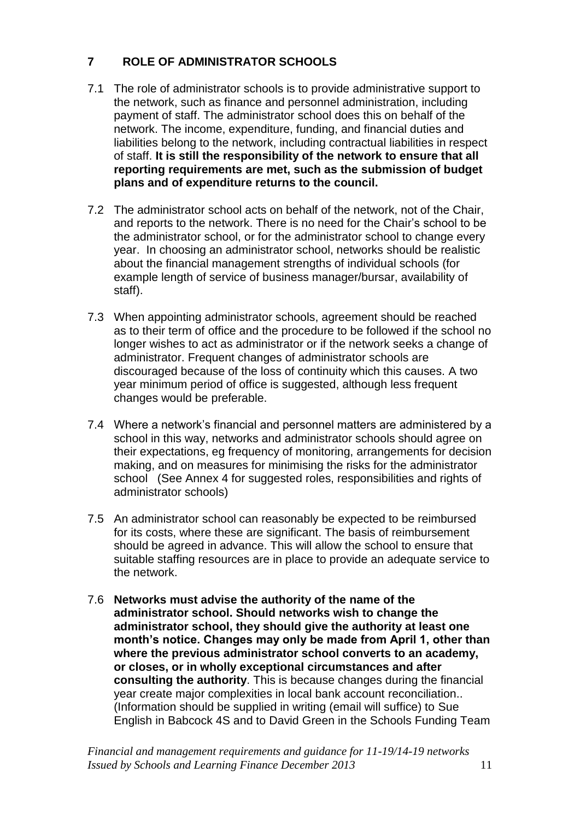# **7 ROLE OF ADMINISTRATOR SCHOOLS**

- 7.1 The role of administrator schools is to provide administrative support to the network, such as finance and personnel administration, including payment of staff. The administrator school does this on behalf of the network. The income, expenditure, funding, and financial duties and liabilities belong to the network, including contractual liabilities in respect of staff. **It is still the responsibility of the network to ensure that all reporting requirements are met, such as the submission of budget plans and of expenditure returns to the council.**
- 7.2 The administrator school acts on behalf of the network, not of the Chair, and reports to the network. There is no need for the Chair's school to be the administrator school, or for the administrator school to change every year. In choosing an administrator school, networks should be realistic about the financial management strengths of individual schools (for example length of service of business manager/bursar, availability of staff).
- 7.3 When appointing administrator schools, agreement should be reached as to their term of office and the procedure to be followed if the school no longer wishes to act as administrator or if the network seeks a change of administrator. Frequent changes of administrator schools are discouraged because of the loss of continuity which this causes. A two year minimum period of office is suggested, although less frequent changes would be preferable.
- 7.4 Where a network's financial and personnel matters are administered by a school in this way, networks and administrator schools should agree on their expectations, eg frequency of monitoring, arrangements for decision making, and on measures for minimising the risks for the administrator school (See Annex 4 for suggested roles, responsibilities and rights of administrator schools)
- 7.5 An administrator school can reasonably be expected to be reimbursed for its costs, where these are significant. The basis of reimbursement should be agreed in advance. This will allow the school to ensure that suitable staffing resources are in place to provide an adequate service to the network.
- 7.6 **Networks must advise the authority of the name of the administrator school. Should networks wish to change the administrator school, they should give the authority at least one month's notice. Changes may only be made from April 1, other than where the previous administrator school converts to an academy, or closes, or in wholly exceptional circumstances and after consulting the authority**. This is because changes during the financial year create major complexities in local bank account reconciliation.. (Information should be supplied in writing (email will suffice) to Sue English in Babcock 4S and to David Green in the Schools Funding Team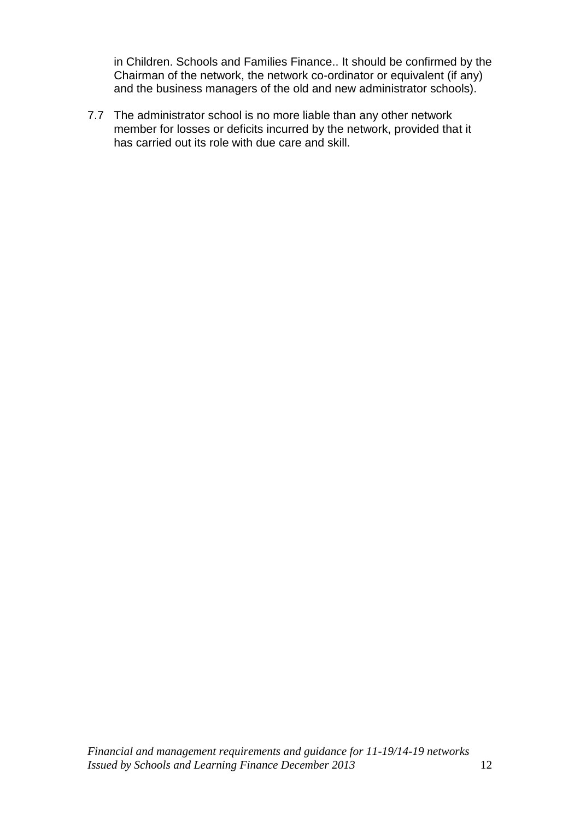in Children. Schools and Families Finance.. It should be confirmed by the Chairman of the network, the network co-ordinator or equivalent (if any) and the business managers of the old and new administrator schools).

7.7 The administrator school is no more liable than any other network member for losses or deficits incurred by the network, provided that it has carried out its role with due care and skill.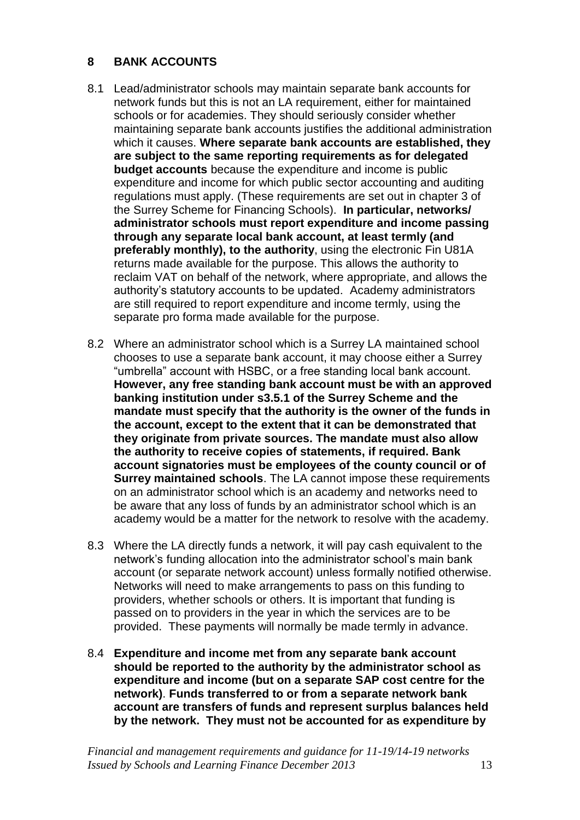## **8 BANK ACCOUNTS**

- 8.1 Lead/administrator schools may maintain separate bank accounts for network funds but this is not an LA requirement, either for maintained schools or for academies. They should seriously consider whether maintaining separate bank accounts justifies the additional administration which it causes. **Where separate bank accounts are established, they are subject to the same reporting requirements as for delegated budget accounts** because the expenditure and income is public expenditure and income for which public sector accounting and auditing regulations must apply. (These requirements are set out in chapter 3 of the Surrey Scheme for Financing Schools). **In particular, networks/ administrator schools must report expenditure and income passing through any separate local bank account, at least termly (and preferably monthly), to the authority**, using the electronic Fin U81A returns made available for the purpose. This allows the authority to reclaim VAT on behalf of the network, where appropriate, and allows the authority's statutory accounts to be updated. Academy administrators are still required to report expenditure and income termly, using the separate pro forma made available for the purpose.
- 8.2 Where an administrator school which is a Surrey LA maintained school chooses to use a separate bank account, it may choose either a Surrey "umbrella" account with HSBC, or a free standing local bank account. **However, any free standing bank account must be with an approved banking institution under s3.5.1 of the Surrey Scheme and the mandate must specify that the authority is the owner of the funds in the account, except to the extent that it can be demonstrated that they originate from private sources. The mandate must also allow the authority to receive copies of statements, if required. Bank account signatories must be employees of the county council or of Surrey maintained schools**. The LA cannot impose these requirements on an administrator school which is an academy and networks need to be aware that any loss of funds by an administrator school which is an academy would be a matter for the network to resolve with the academy.
- 8.3 Where the LA directly funds a network, it will pay cash equivalent to the network's funding allocation into the administrator school's main bank account (or separate network account) unless formally notified otherwise. Networks will need to make arrangements to pass on this funding to providers, whether schools or others. It is important that funding is passed on to providers in the year in which the services are to be provided. These payments will normally be made termly in advance.
- 8.4 **Expenditure and income met from any separate bank account should be reported to the authority by the administrator school as expenditure and income (but on a separate SAP cost centre for the network)**. **Funds transferred to or from a separate network bank account are transfers of funds and represent surplus balances held by the network. They must not be accounted for as expenditure by**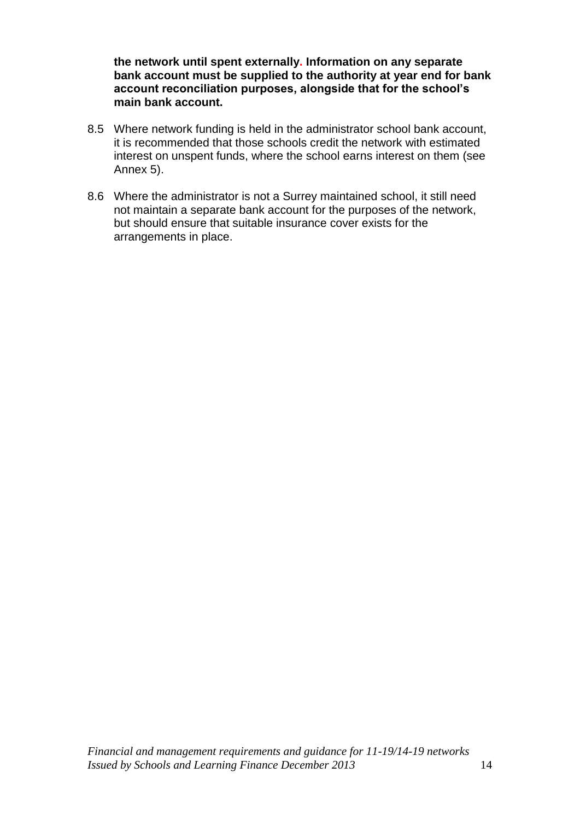**the network until spent externally. Information on any separate bank account must be supplied to the authority at year end for bank account reconciliation purposes, alongside that for the school's main bank account.**

- 8.5 Where network funding is held in the administrator school bank account, it is recommended that those schools credit the network with estimated interest on unspent funds, where the school earns interest on them (see Annex 5).
- 8.6 Where the administrator is not a Surrey maintained school, it still need not maintain a separate bank account for the purposes of the network, but should ensure that suitable insurance cover exists for the arrangements in place.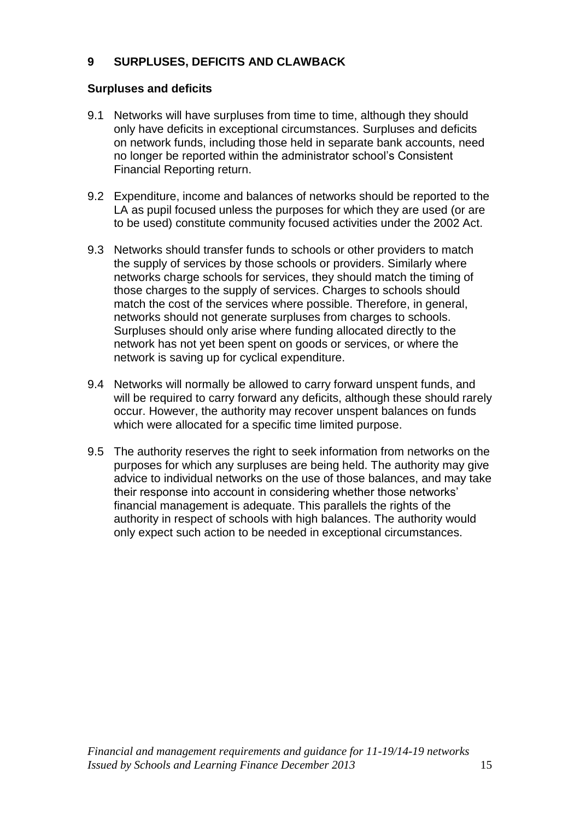# **9 SURPLUSES, DEFICITS AND CLAWBACK**

### **Surpluses and deficits**

- 9.1 Networks will have surpluses from time to time, although they should only have deficits in exceptional circumstances. Surpluses and deficits on network funds, including those held in separate bank accounts, need no longer be reported within the administrator school's Consistent Financial Reporting return.
- 9.2 Expenditure, income and balances of networks should be reported to the LA as pupil focused unless the purposes for which they are used (or are to be used) constitute community focused activities under the 2002 Act.
- 9.3 Networks should transfer funds to schools or other providers to match the supply of services by those schools or providers. Similarly where networks charge schools for services, they should match the timing of those charges to the supply of services. Charges to schools should match the cost of the services where possible. Therefore, in general, networks should not generate surpluses from charges to schools. Surpluses should only arise where funding allocated directly to the network has not yet been spent on goods or services, or where the network is saving up for cyclical expenditure.
- 9.4 Networks will normally be allowed to carry forward unspent funds, and will be required to carry forward any deficits, although these should rarely occur. However, the authority may recover unspent balances on funds which were allocated for a specific time limited purpose.
- 9.5 The authority reserves the right to seek information from networks on the purposes for which any surpluses are being held. The authority may give advice to individual networks on the use of those balances, and may take their response into account in considering whether those networks' financial management is adequate. This parallels the rights of the authority in respect of schools with high balances. The authority would only expect such action to be needed in exceptional circumstances.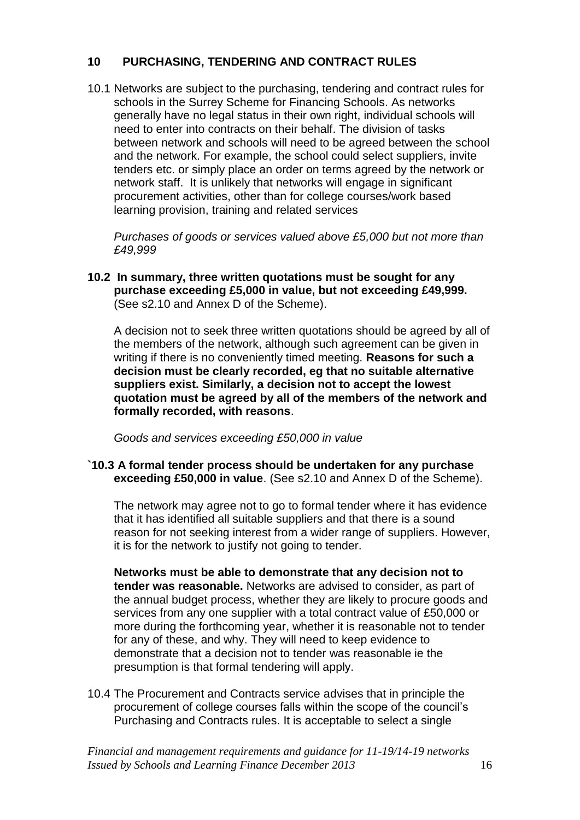## **10 PURCHASING, TENDERING AND CONTRACT RULES**

10.1 Networks are subject to the purchasing, tendering and contract rules for schools in the Surrey Scheme for Financing Schools. As networks generally have no legal status in their own right, individual schools will need to enter into contracts on their behalf. The division of tasks between network and schools will need to be agreed between the school and the network. For example, the school could select suppliers, invite tenders etc. or simply place an order on terms agreed by the network or network staff. It is unlikely that networks will engage in significant procurement activities, other than for college courses/work based learning provision, training and related services

*Purchases of goods or services valued above £5,000 but not more than £49,999*

**10.2 In summary, three written quotations must be sought for any purchase exceeding £5,000 in value, but not exceeding £49,999.** (See s2.10 and Annex D of the Scheme).

A decision not to seek three written quotations should be agreed by all of the members of the network, although such agreement can be given in writing if there is no conveniently timed meeting. **Reasons for such a decision must be clearly recorded, eg that no suitable alternative suppliers exist. Similarly, a decision not to accept the lowest quotation must be agreed by all of the members of the network and formally recorded, with reasons**.

*Goods and services exceeding £50,000 in value*

**`10.3 A formal tender process should be undertaken for any purchase exceeding £50,000 in value**. (See s2.10 and Annex D of the Scheme).

The network may agree not to go to formal tender where it has evidence that it has identified all suitable suppliers and that there is a sound reason for not seeking interest from a wider range of suppliers. However, it is for the network to justify not going to tender.

**Networks must be able to demonstrate that any decision not to tender was reasonable.** Networks are advised to consider, as part of the annual budget process, whether they are likely to procure goods and services from any one supplier with a total contract value of £50,000 or more during the forthcoming year, whether it is reasonable not to tender for any of these, and why. They will need to keep evidence to demonstrate that a decision not to tender was reasonable ie the presumption is that formal tendering will apply.

10.4 The Procurement and Contracts service advises that in principle the procurement of college courses falls within the scope of the council's Purchasing and Contracts rules. It is acceptable to select a single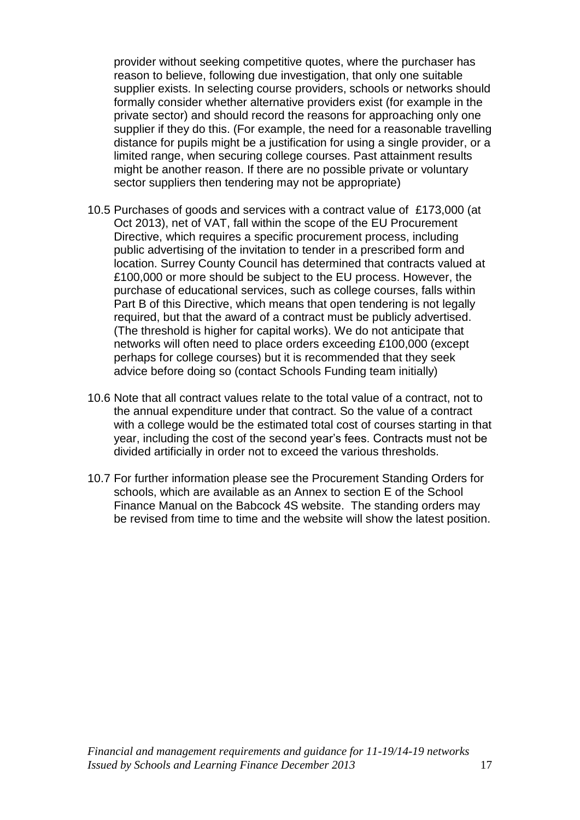provider without seeking competitive quotes, where the purchaser has reason to believe, following due investigation, that only one suitable supplier exists. In selecting course providers, schools or networks should formally consider whether alternative providers exist (for example in the private sector) and should record the reasons for approaching only one supplier if they do this. (For example, the need for a reasonable travelling distance for pupils might be a justification for using a single provider, or a limited range, when securing college courses. Past attainment results might be another reason. If there are no possible private or voluntary sector suppliers then tendering may not be appropriate)

- 10.5 Purchases of goods and services with a contract value of £173,000 (at Oct 2013), net of VAT, fall within the scope of the EU Procurement Directive, which requires a specific procurement process, including public advertising of the invitation to tender in a prescribed form and location. Surrey County Council has determined that contracts valued at £100,000 or more should be subject to the EU process. However, the purchase of educational services, such as college courses, falls within Part B of this Directive, which means that open tendering is not legally required, but that the award of a contract must be publicly advertised. (The threshold is higher for capital works). We do not anticipate that networks will often need to place orders exceeding £100,000 (except perhaps for college courses) but it is recommended that they seek advice before doing so (contact Schools Funding team initially)
- 10.6 Note that all contract values relate to the total value of a contract, not to the annual expenditure under that contract. So the value of a contract with a college would be the estimated total cost of courses starting in that year, including the cost of the second year's fees. Contracts must not be divided artificially in order not to exceed the various thresholds.
- 10.7 For further information please see the Procurement Standing Orders for schools, which are available as an Annex to section E of the School Finance Manual on the Babcock 4S website. The standing orders may be revised from time to time and the website will show the latest position.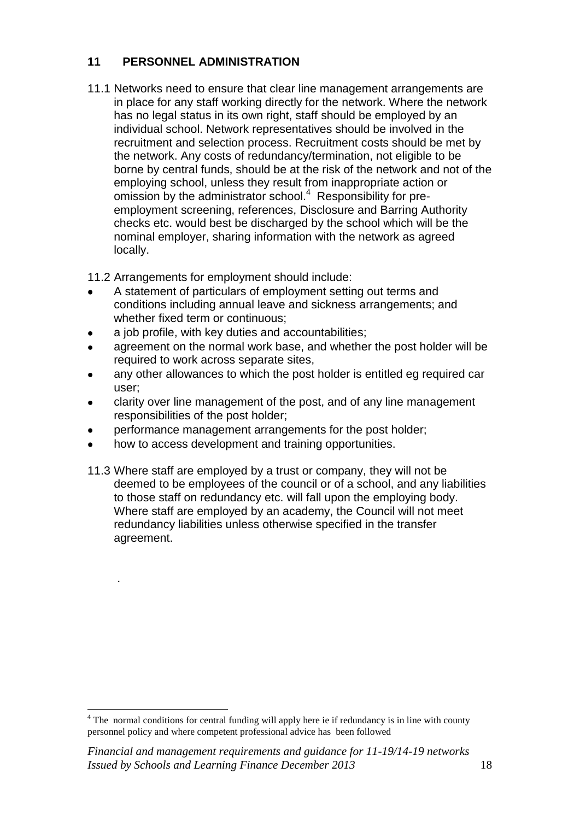# **11 PERSONNEL ADMINISTRATION**

11.1 Networks need to ensure that clear line management arrangements are in place for any staff working directly for the network. Where the network has no legal status in its own right, staff should be employed by an individual school. Network representatives should be involved in the recruitment and selection process. Recruitment costs should be met by the network. Any costs of redundancy/termination, not eligible to be borne by central funds, should be at the risk of the network and not of the employing school, unless they result from inappropriate action or omission by the administrator school.<sup>4</sup> Responsibility for preemployment screening, references, Disclosure and Barring Authority checks etc. would best be discharged by the school which will be the nominal employer, sharing information with the network as agreed locally.

11.2 Arrangements for employment should include:

- A statement of particulars of employment setting out terms and conditions including annual leave and sickness arrangements; and whether fixed term or continuous;
- a job profile, with key duties and accountabilities;
- agreement on the normal work base, and whether the post holder will be required to work across separate sites,
- any other allowances to which the post holder is entitled eg required car user;
- clarity over line management of the post, and of any line management responsibilities of the post holder;
- performance management arrangements for the post holder;
- how to access development and training opportunities.  $\bullet$

.

 $\overline{a}$ 

11.3 Where staff are employed by a trust or company, they will not be deemed to be employees of the council or of a school, and any liabilities to those staff on redundancy etc. will fall upon the employing body. Where staff are employed by an academy, the Council will not meet redundancy liabilities unless otherwise specified in the transfer agreement.

<sup>&</sup>lt;sup>4</sup> The normal conditions for central funding will apply here ie if redundancy is in line with county personnel policy and where competent professional advice has been followed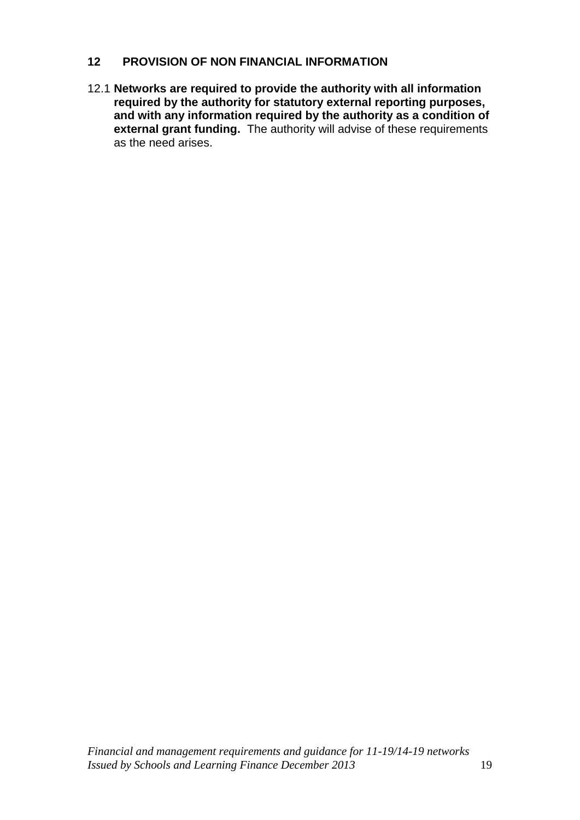### **12 PROVISION OF NON FINANCIAL INFORMATION**

12.1 **Networks are required to provide the authority with all information required by the authority for statutory external reporting purposes, and with any information required by the authority as a condition of external grant funding.** The authority will advise of these requirements as the need arises.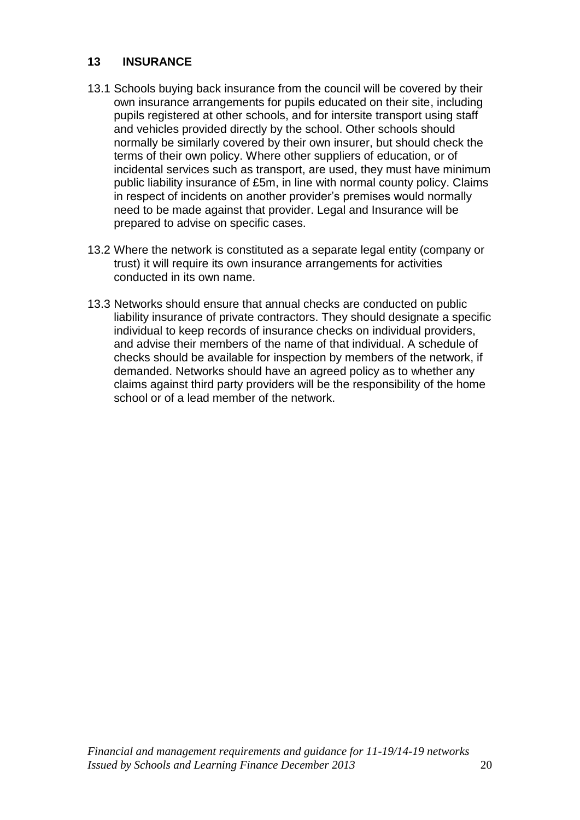## **13 INSURANCE**

- 13.1 Schools buying back insurance from the council will be covered by their own insurance arrangements for pupils educated on their site, including pupils registered at other schools, and for intersite transport using staff and vehicles provided directly by the school. Other schools should normally be similarly covered by their own insurer, but should check the terms of their own policy. Where other suppliers of education, or of incidental services such as transport, are used, they must have minimum public liability insurance of £5m, in line with normal county policy. Claims in respect of incidents on another provider's premises would normally need to be made against that provider. Legal and Insurance will be prepared to advise on specific cases.
- 13.2 Where the network is constituted as a separate legal entity (company or trust) it will require its own insurance arrangements for activities conducted in its own name.
- 13.3 Networks should ensure that annual checks are conducted on public liability insurance of private contractors. They should designate a specific individual to keep records of insurance checks on individual providers, and advise their members of the name of that individual. A schedule of checks should be available for inspection by members of the network, if demanded. Networks should have an agreed policy as to whether any claims against third party providers will be the responsibility of the home school or of a lead member of the network.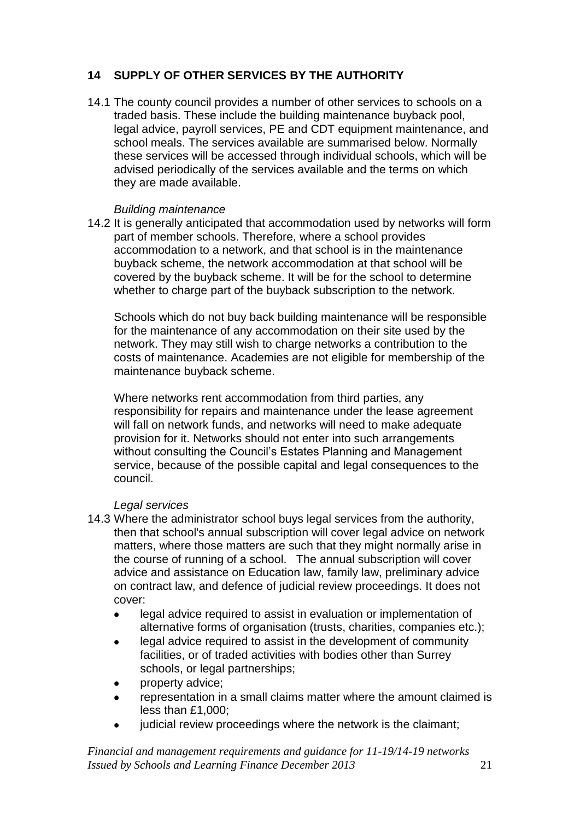# **14 SUPPLY OF OTHER SERVICES BY THE AUTHORITY**

14.1 The county council provides a number of other services to schools on a traded basis. These include the building maintenance buyback pool, legal advice, payroll services, PE and CDT equipment maintenance, and school meals. The services available are summarised below. Normally these services will be accessed through individual schools, which will be advised periodically of the services available and the terms on which they are made available.

### *Building maintenance*

14.2 It is generally anticipated that accommodation used by networks will form part of member schools. Therefore, where a school provides accommodation to a network, and that school is in the maintenance buyback scheme, the network accommodation at that school will be covered by the buyback scheme. It will be for the school to determine whether to charge part of the buyback subscription to the network.

Schools which do not buy back building maintenance will be responsible for the maintenance of any accommodation on their site used by the network. They may still wish to charge networks a contribution to the costs of maintenance. Academies are not eligible for membership of the maintenance buyback scheme.

Where networks rent accommodation from third parties, any responsibility for repairs and maintenance under the lease agreement will fall on network funds, and networks will need to make adequate provision for it. Networks should not enter into such arrangements without consulting the Council's Estates Planning and Management service, because of the possible capital and legal consequences to the council.

## *Legal services*

- 14.3 Where the administrator school buys legal services from the authority, then that school's annual subscription will cover legal advice on network matters, where those matters are such that they might normally arise in the course of running of a school. The annual subscription will cover advice and assistance on Education law, family law, preliminary advice on contract law, and defence of judicial review proceedings. It does not cover:
	- legal advice required to assist in evaluation or implementation of alternative forms of organisation (trusts, charities, companies etc.);
	- legal advice required to assist in the development of community facilities, or of traded activities with bodies other than Surrey schools, or legal partnerships;
	- property advice;
	- representation in a small claims matter where the amount claimed is less than £1,000;
	- judicial review proceedings where the network is the claimant;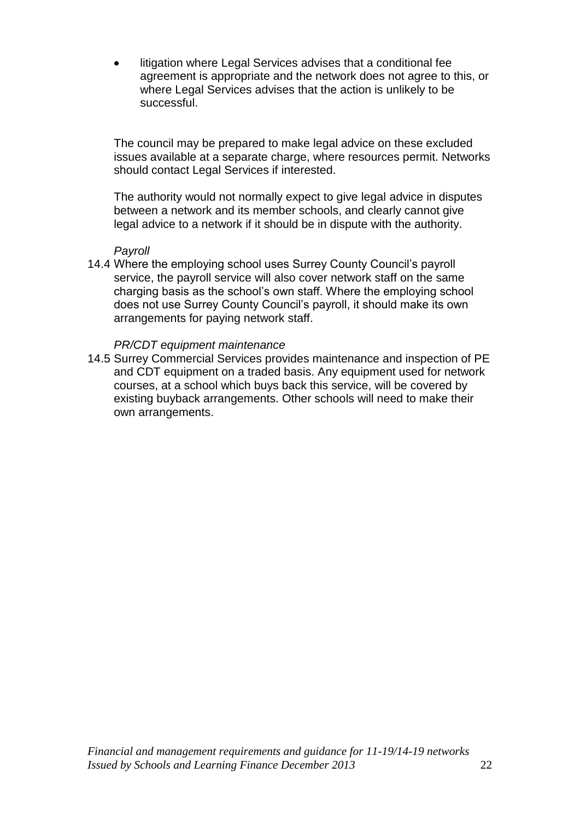litigation where Legal Services advises that a conditional fee agreement is appropriate and the network does not agree to this, or where Legal Services advises that the action is unlikely to be successful.

The council may be prepared to make legal advice on these excluded issues available at a separate charge, where resources permit. Networks should contact Legal Services if interested.

The authority would not normally expect to give legal advice in disputes between a network and its member schools, and clearly cannot give legal advice to a network if it should be in dispute with the authority.

#### *Payroll*

14.4 Where the employing school uses Surrey County Council's payroll service, the payroll service will also cover network staff on the same charging basis as the school's own staff. Where the employing school does not use Surrey County Council's payroll, it should make its own arrangements for paying network staff.

#### *PR/CDT equipment maintenance*

14.5 Surrey Commercial Services provides maintenance and inspection of PE and CDT equipment on a traded basis. Any equipment used for network courses, at a school which buys back this service, will be covered by existing buyback arrangements. Other schools will need to make their own arrangements.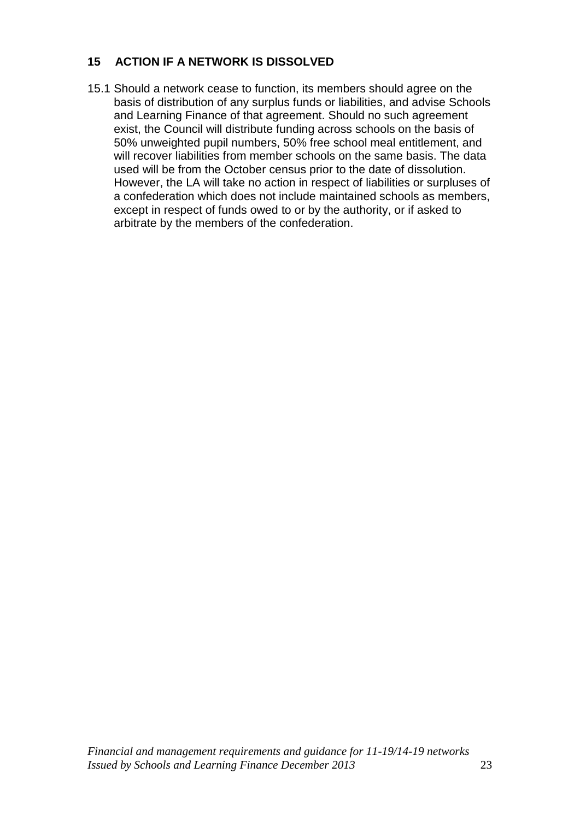# **15 ACTION IF A NETWORK IS DISSOLVED**

15.1 Should a network cease to function, its members should agree on the basis of distribution of any surplus funds or liabilities, and advise Schools and Learning Finance of that agreement. Should no such agreement exist, the Council will distribute funding across schools on the basis of 50% unweighted pupil numbers, 50% free school meal entitlement, and will recover liabilities from member schools on the same basis. The data used will be from the October census prior to the date of dissolution. However, the LA will take no action in respect of liabilities or surpluses of a confederation which does not include maintained schools as members, except in respect of funds owed to or by the authority, or if asked to arbitrate by the members of the confederation.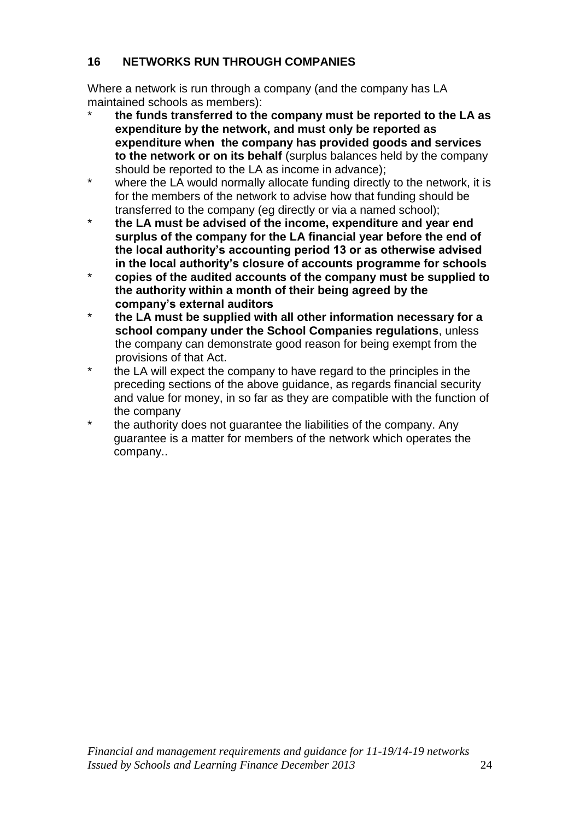# **16 NETWORKS RUN THROUGH COMPANIES**

Where a network is run through a company (and the company has LA maintained schools as members):

- \* **the funds transferred to the company must be reported to the LA as expenditure by the network, and must only be reported as expenditure when the company has provided goods and services to the network or on its behalf** (surplus balances held by the company should be reported to the LA as income in advance);
- where the LA would normally allocate funding directly to the network, it is for the members of the network to advise how that funding should be transferred to the company (eg directly or via a named school);
- \* **the LA must be advised of the income, expenditure and year end surplus of the company for the LA financial year before the end of the local authority's accounting period 13 or as otherwise advised in the local authority's closure of accounts programme for schools**
- \* **copies of the audited accounts of the company must be supplied to the authority within a month of their being agreed by the company's external auditors**
- \* **the LA must be supplied with all other information necessary for a school company under the School Companies regulations**, unless the company can demonstrate good reason for being exempt from the provisions of that Act.
- \* the LA will expect the company to have regard to the principles in the preceding sections of the above guidance, as regards financial security and value for money, in so far as they are compatible with the function of the company
- \* the authority does not quarantee the liabilities of the company. Any guarantee is a matter for members of the network which operates the company..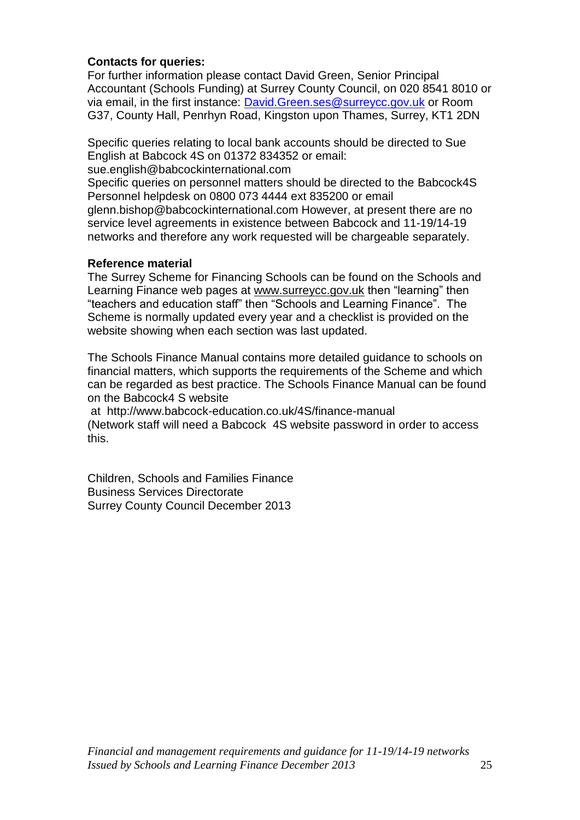## **Contacts for queries:**

For further information please contact David Green, Senior Principal Accountant (Schools Funding) at Surrey County Council, on 020 8541 8010 or via email, in the first instance: [David.Green.ses@surreycc.gov.uk](mailto:David.Green.ses@surreycc.gov.uk) or Room G37, County Hall, Penrhyn Road, Kingston upon Thames, Surrey, KT1 2DN

Specific queries relating to local bank accounts should be directed to Sue English at Babcock 4S on 01372 834352 or email:

sue.english@babcockinternational.com

Specific queries on personnel matters should be directed to the Babcock4S Personnel helpdesk on 0800 073 4444 ext 835200 or email

glenn.bishop@babcockinternational.com However, at present there are no service level agreements in existence between Babcock and 11-19/14-19 networks and therefore any work requested will be chargeable separately.

### **Reference material**

The Surrey Scheme for Financing Schools can be found on the Schools and Learning Finance web pages at [www.surreycc.gov.uk](http://www.surreycc.gov.uk/) then "learning" then "teachers and education staff" then "Schools and Learning Finance". The Scheme is normally updated every year and a checklist is provided on the website showing when each section was last updated.

The Schools Finance Manual contains more detailed guidance to schools on financial matters, which supports the requirements of the Scheme and which can be regarded as best practice. The Schools Finance Manual can be found on the Babcock4 S website

at http://www.babcock-education.co.uk/4S/finance-manual (Network staff will need a Babcock 4S website password in order to access this.

Children, Schools and Families Finance Business Services Directorate Surrey County Council December 2013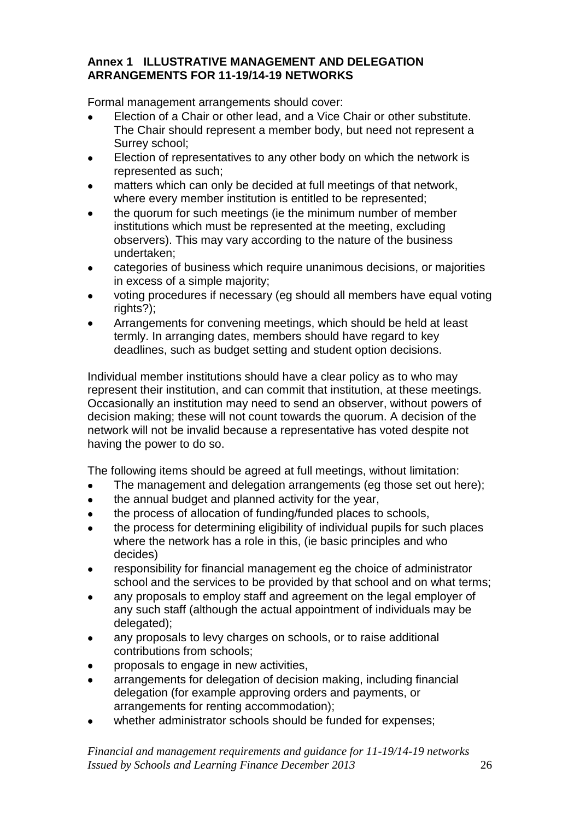## **Annex 1 ILLUSTRATIVE MANAGEMENT AND DELEGATION ARRANGEMENTS FOR 11-19/14-19 NETWORKS**

Formal management arrangements should cover:

- Election of a Chair or other lead, and a Vice Chair or other substitute. The Chair should represent a member body, but need not represent a Surrey school;
- Election of representatives to any other body on which the network is  $\bullet$ represented as such;
- matters which can only be decided at full meetings of that network, where every member institution is entitled to be represented;
- the quorum for such meetings (ie the minimum number of member institutions which must be represented at the meeting, excluding observers). This may vary according to the nature of the business undertaken;
- categories of business which require unanimous decisions, or majorities in excess of a simple majority;
- voting procedures if necessary (eg should all members have equal voting rights?);
- Arrangements for convening meetings, which should be held at least termly. In arranging dates, members should have regard to key deadlines, such as budget setting and student option decisions.

Individual member institutions should have a clear policy as to who may represent their institution, and can commit that institution, at these meetings. Occasionally an institution may need to send an observer, without powers of decision making; these will not count towards the quorum. A decision of the network will not be invalid because a representative has voted despite not having the power to do so.

The following items should be agreed at full meetings, without limitation:

- The management and delegation arrangements (eg those set out here);
- the annual budget and planned activity for the year,  $\bullet$
- the process of allocation of funding/funded places to schools,
- the process for determining eligibility of individual pupils for such places where the network has a role in this, (ie basic principles and who decides)
- responsibility for financial management eg the choice of administrator  $\bullet$ school and the services to be provided by that school and on what terms;
- any proposals to employ staff and agreement on the legal employer of any such staff (although the actual appointment of individuals may be delegated);
- any proposals to levy charges on schools, or to raise additional  $\bullet$ contributions from schools;
- proposals to engage in new activities,
- arrangements for delegation of decision making, including financial  $\bullet$ delegation (for example approving orders and payments, or arrangements for renting accommodation);
- whether administrator schools should be funded for expenses;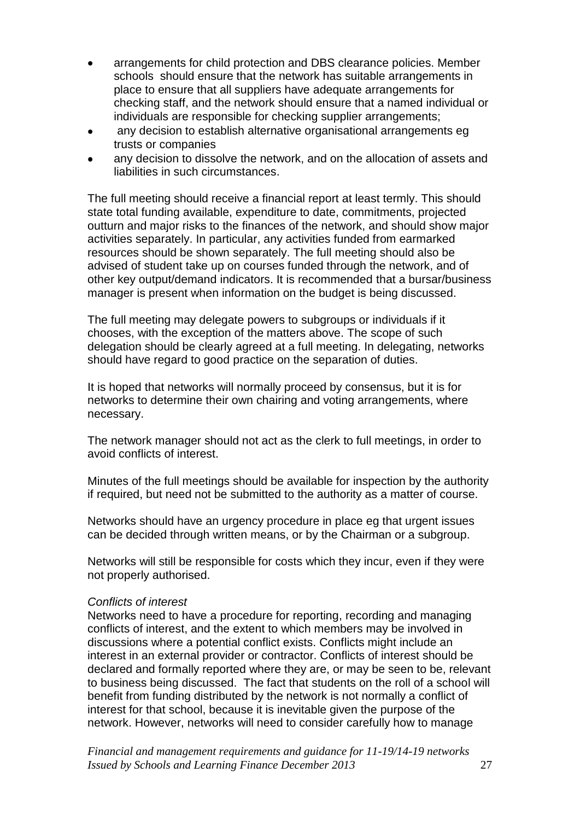- arrangements for child protection and DBS clearance policies. Member schools should ensure that the network has suitable arrangements in place to ensure that all suppliers have adequate arrangements for checking staff, and the network should ensure that a named individual or individuals are responsible for checking supplier arrangements;
- any decision to establish alternative organisational arrangements eg  $\bullet$ trusts or companies
- any decision to dissolve the network, and on the allocation of assets and liabilities in such circumstances.

The full meeting should receive a financial report at least termly. This should state total funding available, expenditure to date, commitments, projected outturn and major risks to the finances of the network, and should show major activities separately. In particular, any activities funded from earmarked resources should be shown separately. The full meeting should also be advised of student take up on courses funded through the network, and of other key output/demand indicators. It is recommended that a bursar/business manager is present when information on the budget is being discussed.

The full meeting may delegate powers to subgroups or individuals if it chooses, with the exception of the matters above. The scope of such delegation should be clearly agreed at a full meeting. In delegating, networks should have regard to good practice on the separation of duties.

It is hoped that networks will normally proceed by consensus, but it is for networks to determine their own chairing and voting arrangements, where necessary.

The network manager should not act as the clerk to full meetings, in order to avoid conflicts of interest.

Minutes of the full meetings should be available for inspection by the authority if required, but need not be submitted to the authority as a matter of course.

Networks should have an urgency procedure in place eg that urgent issues can be decided through written means, or by the Chairman or a subgroup.

Networks will still be responsible for costs which they incur, even if they were not properly authorised.

#### *Conflicts of interest*

Networks need to have a procedure for reporting, recording and managing conflicts of interest, and the extent to which members may be involved in discussions where a potential conflict exists. Conflicts might include an interest in an external provider or contractor. Conflicts of interest should be declared and formally reported where they are, or may be seen to be, relevant to business being discussed.The fact that students on the roll of a school will benefit from funding distributed by the network is not normally a conflict of interest for that school, because it is inevitable given the purpose of the network. However, networks will need to consider carefully how to manage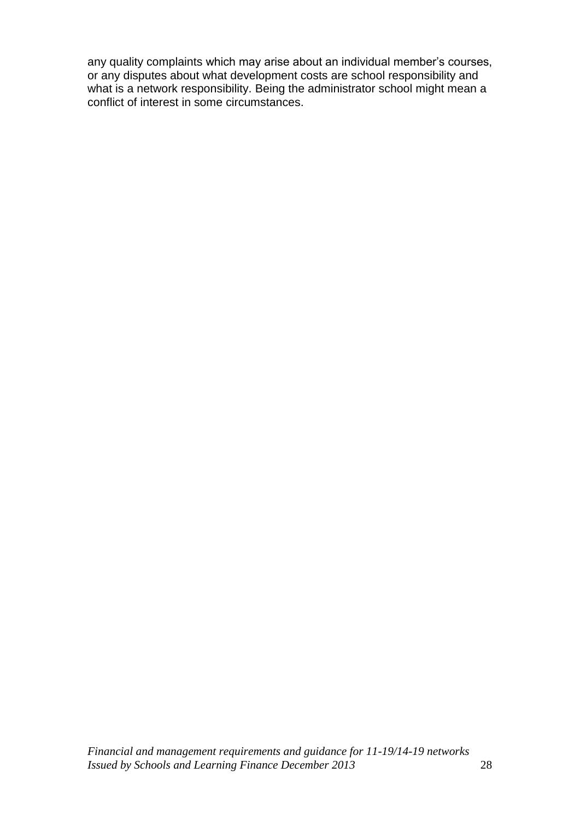any quality complaints which may arise about an individual member's courses, or any disputes about what development costs are school responsibility and what is a network responsibility. Being the administrator school might mean a conflict of interest in some circumstances.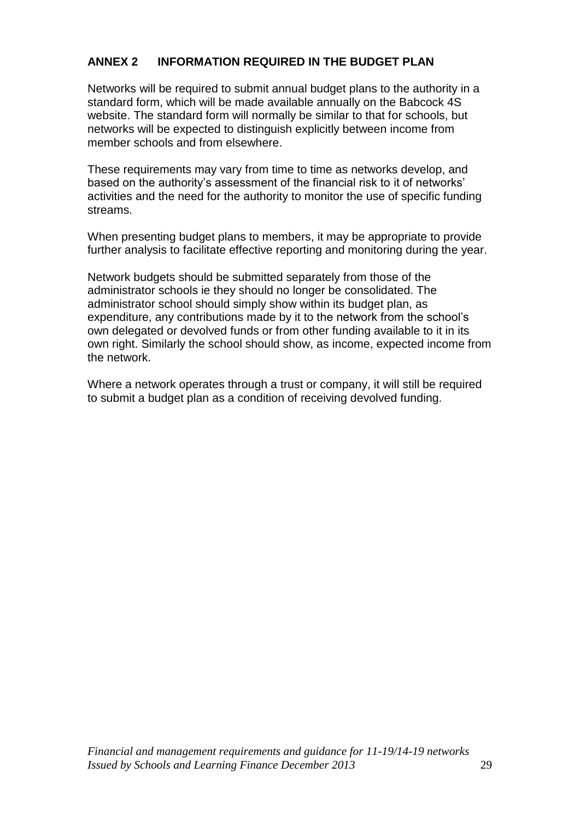# **ANNEX 2 INFORMATION REQUIRED IN THE BUDGET PLAN**

Networks will be required to submit annual budget plans to the authority in a standard form, which will be made available annually on the Babcock 4S website. The standard form will normally be similar to that for schools, but networks will be expected to distinguish explicitly between income from member schools and from elsewhere.

These requirements may vary from time to time as networks develop, and based on the authority's assessment of the financial risk to it of networks' activities and the need for the authority to monitor the use of specific funding streams.

When presenting budget plans to members, it may be appropriate to provide further analysis to facilitate effective reporting and monitoring during the year.

Network budgets should be submitted separately from those of the administrator schools ie they should no longer be consolidated. The administrator school should simply show within its budget plan, as expenditure, any contributions made by it to the network from the school's own delegated or devolved funds or from other funding available to it in its own right. Similarly the school should show, as income, expected income from the network.

Where a network operates through a trust or company, it will still be required to submit a budget plan as a condition of receiving devolved funding.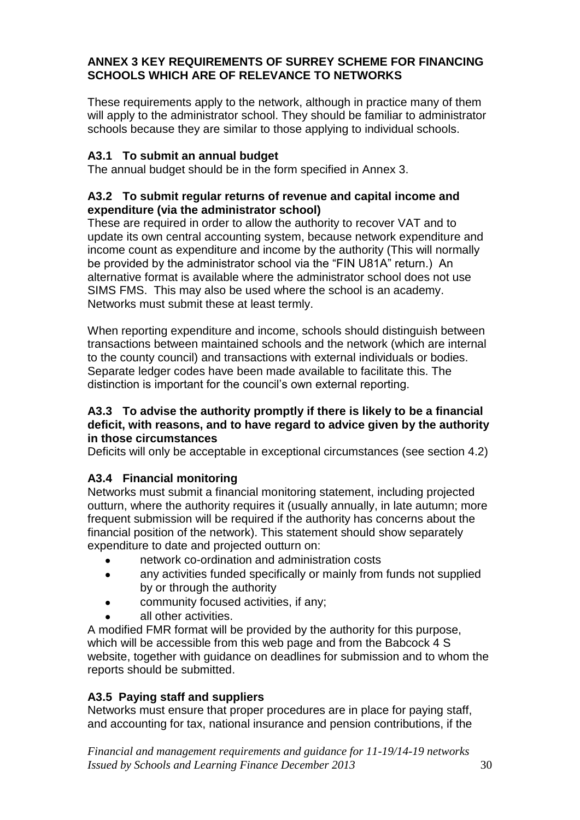## **ANNEX 3 KEY REQUIREMENTS OF SURREY SCHEME FOR FINANCING SCHOOLS WHICH ARE OF RELEVANCE TO NETWORKS**

These requirements apply to the network, although in practice many of them will apply to the administrator school. They should be familiar to administrator schools because they are similar to those applying to individual schools.

# **A3.1 To submit an annual budget**

The annual budget should be in the form specified in Annex 3.

### **A3.2 To submit regular returns of revenue and capital income and expenditure (via the administrator school)**

These are required in order to allow the authority to recover VAT and to update its own central accounting system, because network expenditure and income count as expenditure and income by the authority (This will normally be provided by the administrator school via the "FIN U81A" return.) An alternative format is available where the administrator school does not use SIMS FMS. This may also be used where the school is an academy. Networks must submit these at least termly.

When reporting expenditure and income, schools should distinguish between transactions between maintained schools and the network (which are internal to the county council) and transactions with external individuals or bodies. Separate ledger codes have been made available to facilitate this. The distinction is important for the council's own external reporting.

### **A3.3 To advise the authority promptly if there is likely to be a financial deficit, with reasons, and to have regard to advice given by the authority in those circumstances**

Deficits will only be acceptable in exceptional circumstances (see section 4.2)

## **A3.4 Financial monitoring**

Networks must submit a financial monitoring statement, including projected outturn, where the authority requires it (usually annually, in late autumn; more frequent submission will be required if the authority has concerns about the financial position of the network). This statement should show separately expenditure to date and projected outturn on:

- network co-ordination and administration costs
- any activities funded specifically or mainly from funds not supplied  $\bullet$ by or through the authority
- community focused activities, if any;
- all other activities.

A modified FMR format will be provided by the authority for this purpose, which will be accessible from this web page and from the Babcock 4 S website, together with guidance on deadlines for submission and to whom the reports should be submitted.

# **A3.5 Paying staff and suppliers**

Networks must ensure that proper procedures are in place for paying staff, and accounting for tax, national insurance and pension contributions, if the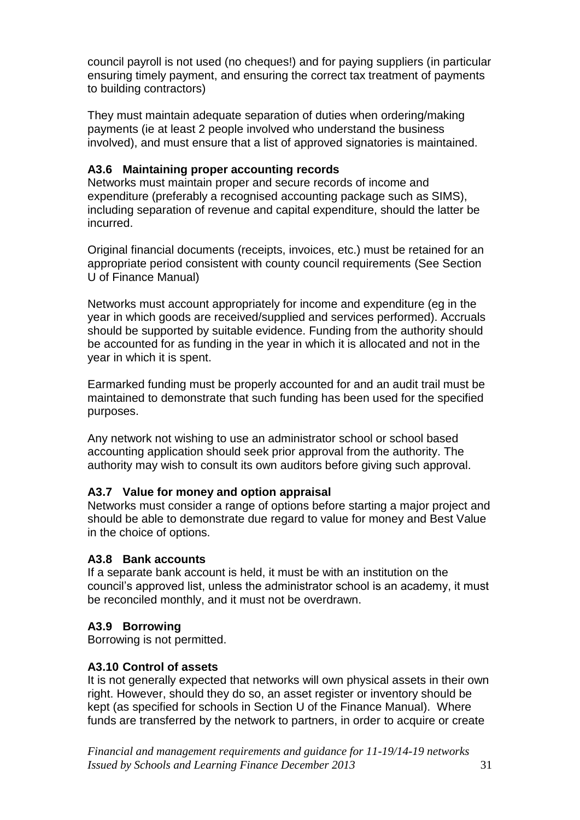council payroll is not used (no cheques!) and for paying suppliers (in particular ensuring timely payment, and ensuring the correct tax treatment of payments to building contractors)

They must maintain adequate separation of duties when ordering/making payments (ie at least 2 people involved who understand the business involved), and must ensure that a list of approved signatories is maintained.

## **A3.6 Maintaining proper accounting records**

Networks must maintain proper and secure records of income and expenditure (preferably a recognised accounting package such as SIMS), including separation of revenue and capital expenditure, should the latter be incurred.

Original financial documents (receipts, invoices, etc.) must be retained for an appropriate period consistent with county council requirements (See Section U of Finance Manual)

Networks must account appropriately for income and expenditure (eg in the year in which goods are received/supplied and services performed). Accruals should be supported by suitable evidence. Funding from the authority should be accounted for as funding in the year in which it is allocated and not in the year in which it is spent.

Earmarked funding must be properly accounted for and an audit trail must be maintained to demonstrate that such funding has been used for the specified purposes.

Any network not wishing to use an administrator school or school based accounting application should seek prior approval from the authority. The authority may wish to consult its own auditors before giving such approval.

## **A3.7 Value for money and option appraisal**

Networks must consider a range of options before starting a major project and should be able to demonstrate due regard to value for money and Best Value in the choice of options.

#### **A3.8 Bank accounts**

If a separate bank account is held, it must be with an institution on the council's approved list, unless the administrator school is an academy, it must be reconciled monthly, and it must not be overdrawn.

#### **A3.9 Borrowing**

Borrowing is not permitted.

#### **A3.10 Control of assets**

It is not generally expected that networks will own physical assets in their own right. However, should they do so, an asset register or inventory should be kept (as specified for schools in Section U of the Finance Manual). Where funds are transferred by the network to partners, in order to acquire or create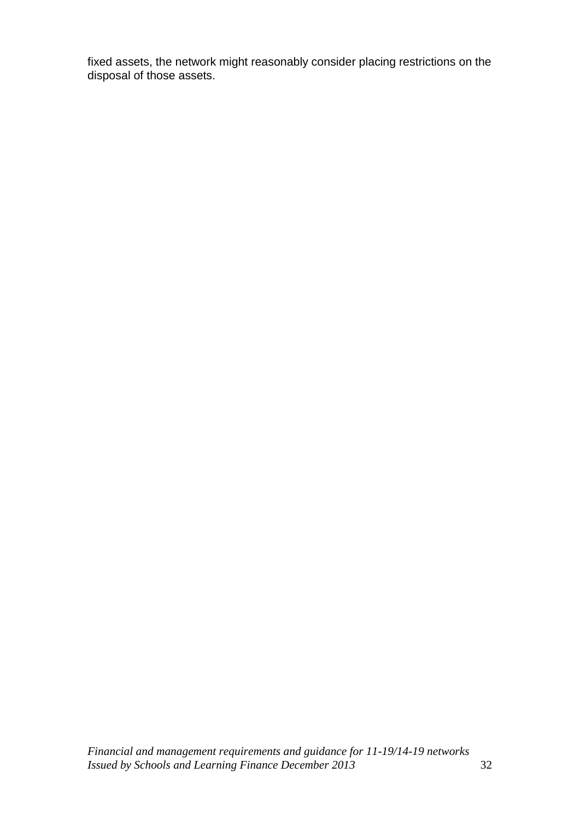fixed assets, the network might reasonably consider placing restrictions on the disposal of those assets.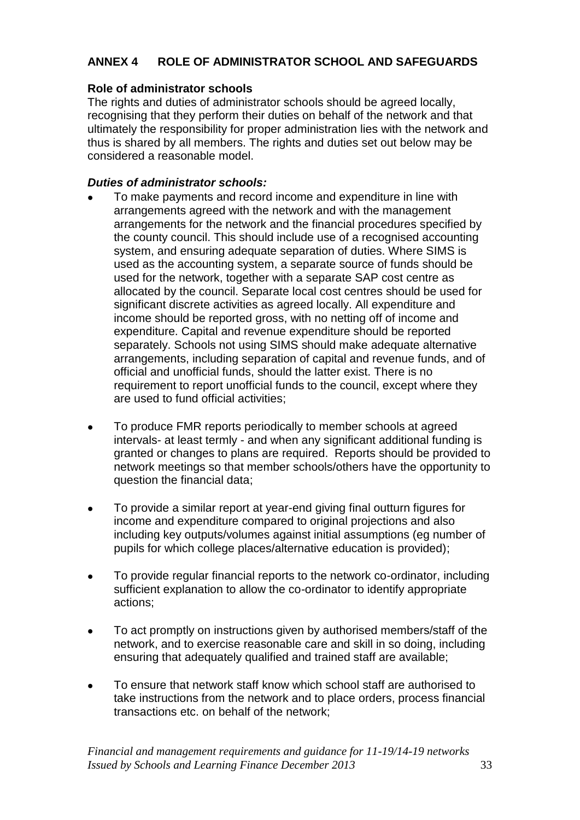# **ANNEX 4 ROLE OF ADMINISTRATOR SCHOOL AND SAFEGUARDS**

## **Role of administrator schools**

The rights and duties of administrator schools should be agreed locally, recognising that they perform their duties on behalf of the network and that ultimately the responsibility for proper administration lies with the network and thus is shared by all members. The rights and duties set out below may be considered a reasonable model.

## *Duties of administrator schools:*

- To make payments and record income and expenditure in line with arrangements agreed with the network and with the management arrangements for the network and the financial procedures specified by the county council. This should include use of a recognised accounting system, and ensuring adequate separation of duties. Where SIMS is used as the accounting system, a separate source of funds should be used for the network, together with a separate SAP cost centre as allocated by the council. Separate local cost centres should be used for significant discrete activities as agreed locally. All expenditure and income should be reported gross, with no netting off of income and expenditure. Capital and revenue expenditure should be reported separately. Schools not using SIMS should make adequate alternative arrangements, including separation of capital and revenue funds, and of official and unofficial funds, should the latter exist. There is no requirement to report unofficial funds to the council, except where they are used to fund official activities;
- To produce FMR reports periodically to member schools at agreed  $\bullet$ intervals- at least termly - and when any significant additional funding is granted or changes to plans are required. Reports should be provided to network meetings so that member schools/others have the opportunity to question the financial data;
- To provide a similar report at year-end giving final outturn figures for  $\bullet$ income and expenditure compared to original projections and also including key outputs/volumes against initial assumptions (eg number of pupils for which college places/alternative education is provided);
- To provide regular financial reports to the network co-ordinator, including  $\bullet$ sufficient explanation to allow the co-ordinator to identify appropriate actions;
- To act promptly on instructions given by authorised members/staff of the  $\bullet$ network, and to exercise reasonable care and skill in so doing, including ensuring that adequately qualified and trained staff are available;
- To ensure that network staff know which school staff are authorised to  $\bullet$ take instructions from the network and to place orders, process financial transactions etc. on behalf of the network;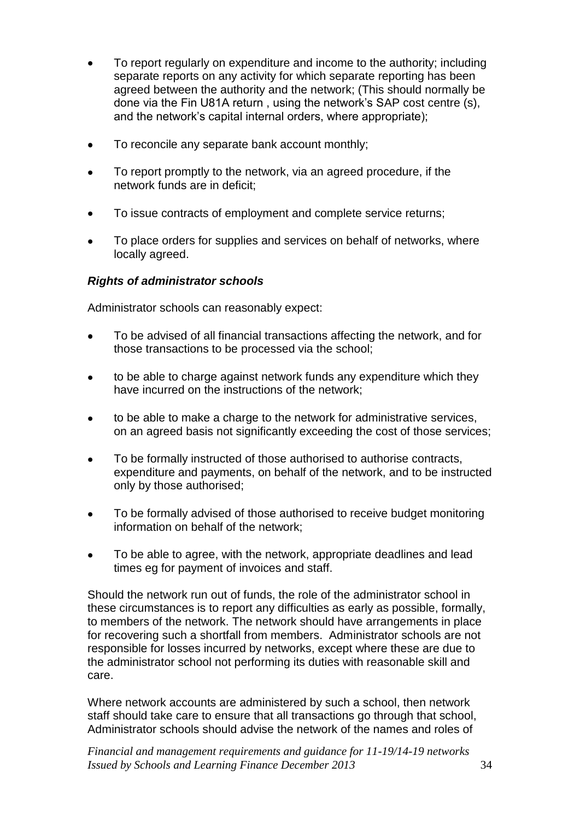- To report regularly on expenditure and income to the authority; including separate reports on any activity for which separate reporting has been agreed between the authority and the network; (This should normally be done via the Fin U81A return , using the network's SAP cost centre (s), and the network's capital internal orders, where appropriate);
- To reconcile any separate bank account monthly;  $\bullet$
- To report promptly to the network, via an agreed procedure, if the network funds are in deficit;
- To issue contracts of employment and complete service returns;
- To place orders for supplies and services on behalf of networks, where locally agreed.

### *Rights of administrator schools*

Administrator schools can reasonably expect:

- To be advised of all financial transactions affecting the network, and for  $\bullet$ those transactions to be processed via the school;
- to be able to charge against network funds any expenditure which they have incurred on the instructions of the network;
- to be able to make a charge to the network for administrative services, on an agreed basis not significantly exceeding the cost of those services;
- To be formally instructed of those authorised to authorise contracts,  $\bullet$ expenditure and payments, on behalf of the network, and to be instructed only by those authorised;
- To be formally advised of those authorised to receive budget monitoring  $\bullet$ information on behalf of the network;
- To be able to agree, with the network, appropriate deadlines and lead  $\bullet$ times eg for payment of invoices and staff.

Should the network run out of funds, the role of the administrator school in these circumstances is to report any difficulties as early as possible, formally, to members of the network. The network should have arrangements in place for recovering such a shortfall from members. Administrator schools are not responsible for losses incurred by networks, except where these are due to the administrator school not performing its duties with reasonable skill and care.

Where network accounts are administered by such a school, then network staff should take care to ensure that all transactions go through that school, Administrator schools should advise the network of the names and roles of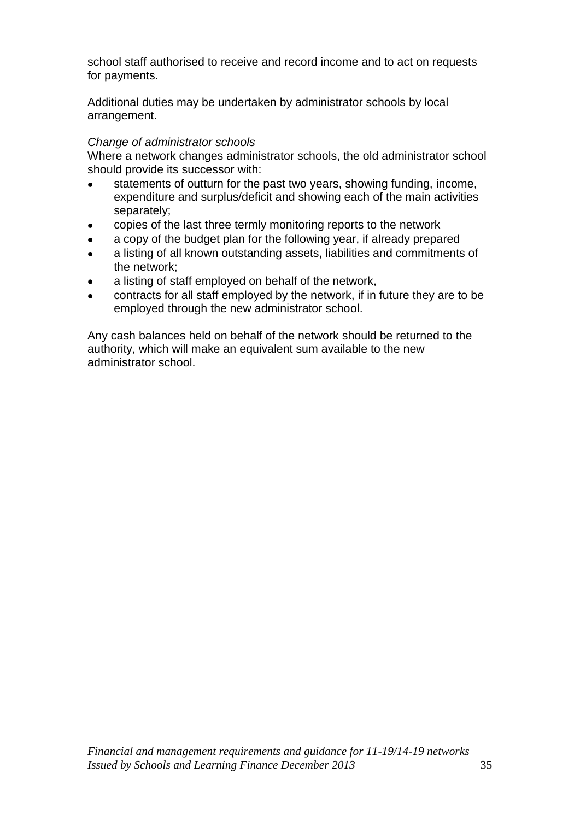school staff authorised to receive and record income and to act on requests for payments.

Additional duties may be undertaken by administrator schools by local arrangement.

#### *Change of administrator schools*

Where a network changes administrator schools, the old administrator school should provide its successor with:

- statements of outturn for the past two years, showing funding, income, expenditure and surplus/deficit and showing each of the main activities separately;
- copies of the last three termly monitoring reports to the network  $\bullet$
- a copy of the budget plan for the following year, if already prepared
- a listing of all known outstanding assets, liabilities and commitments of the network;
- a listing of staff employed on behalf of the network,
- contracts for all staff employed by the network, if in future they are to be employed through the new administrator school.

Any cash balances held on behalf of the network should be returned to the authority, which will make an equivalent sum available to the new administrator school.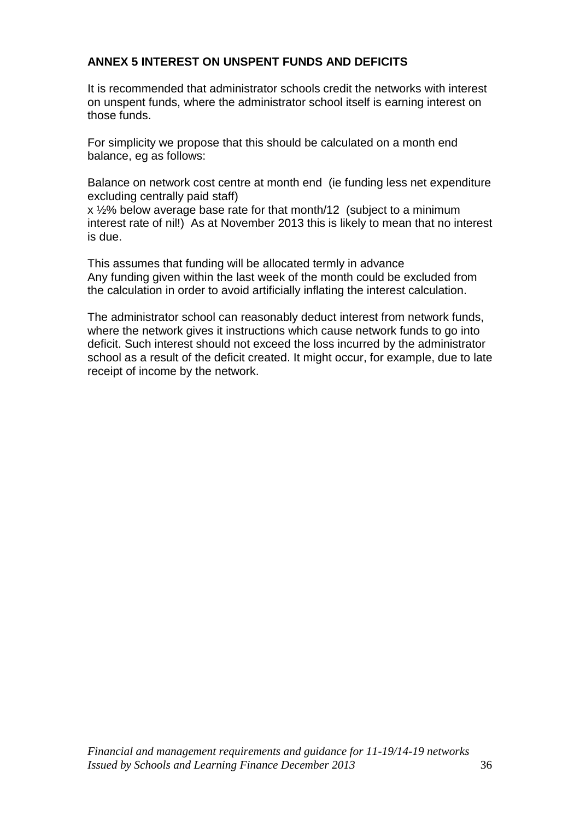# **ANNEX 5 INTEREST ON UNSPENT FUNDS AND DEFICITS**

It is recommended that administrator schools credit the networks with interest on unspent funds, where the administrator school itself is earning interest on those funds.

For simplicity we propose that this should be calculated on a month end balance, eg as follows:

Balance on network cost centre at month end (ie funding less net expenditure excluding centrally paid staff)

x ½% below average base rate for that month/12 (subject to a minimum interest rate of nil!) As at November 2013 this is likely to mean that no interest is due.

This assumes that funding will be allocated termly in advance Any funding given within the last week of the month could be excluded from the calculation in order to avoid artificially inflating the interest calculation.

The administrator school can reasonably deduct interest from network funds, where the network gives it instructions which cause network funds to go into deficit. Such interest should not exceed the loss incurred by the administrator school as a result of the deficit created. It might occur, for example, due to late receipt of income by the network.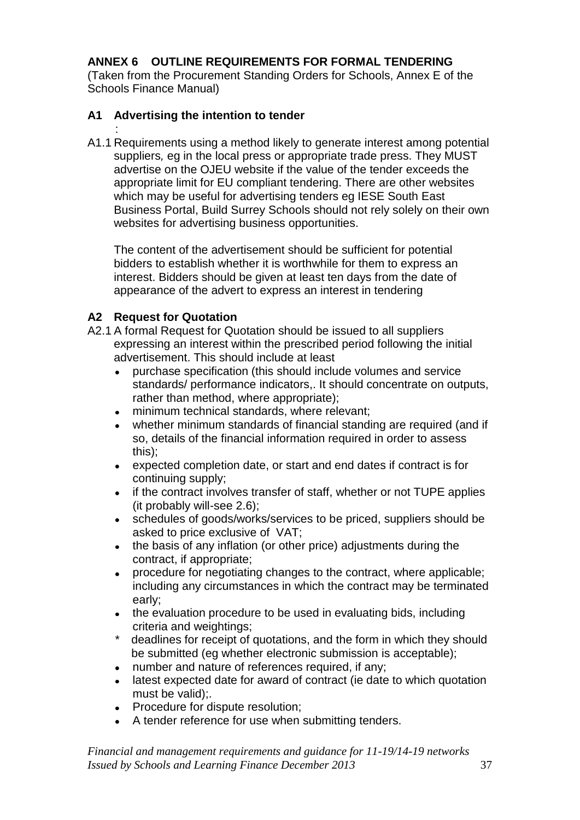# **ANNEX 6 OUTLINE REQUIREMENTS FOR FORMAL TENDERING**

(Taken from the Procurement Standing Orders for Schools, Annex E of the Schools Finance Manual)

# **A1 Advertising the intention to tender**

: A1.1 Requirements using a method likely to generate interest among potential suppliers*,* eg in the local press or appropriate trade press. They MUST advertise on the OJEU website if the value of the tender exceeds the appropriate limit for EU compliant tendering. There are other websites which may be useful for advertising tenders eg IESE South East Business Portal, Build Surrey Schools should not rely solely on their own websites for advertising business opportunities.

The content of the advertisement should be sufficient for potential bidders to establish whether it is worthwhile for them to express an interest. Bidders should be given at least ten days from the date of appearance of the advert to express an interest in tendering

# **A2 Request for Quotation**

- A2.1 A formal Request for Quotation should be issued to all suppliers expressing an interest within the prescribed period following the initial advertisement. This should include at least
	- purchase specification (this should include volumes and service standards/ performance indicators,. It should concentrate on outputs, rather than method, where appropriate);
	- minimum technical standards, where relevant;
	- whether minimum standards of financial standing are required (and if so, details of the financial information required in order to assess this);
	- expected completion date, or start and end dates if contract is for continuing supply;
	- if the contract involves transfer of staff, whether or not TUPE applies (it probably will-see 2.6);
	- schedules of goods/works/services to be priced, suppliers should be asked to price exclusive of VAT;
	- the basis of any inflation (or other price) adjustments during the contract, if appropriate;
	- procedure for negotiating changes to the contract, where applicable; including any circumstances in which the contract may be terminated early;
	- the evaluation procedure to be used in evaluating bids, including criteria and weightings;
	- \* deadlines for receipt of quotations, and the form in which they should be submitted (eg whether electronic submission is acceptable);
	- number and nature of references required, if any:
	- latest expected date for award of contract (ie date to which quotation must be valid);.
	- Procedure for dispute resolution;
	- A tender reference for use when submitting tenders.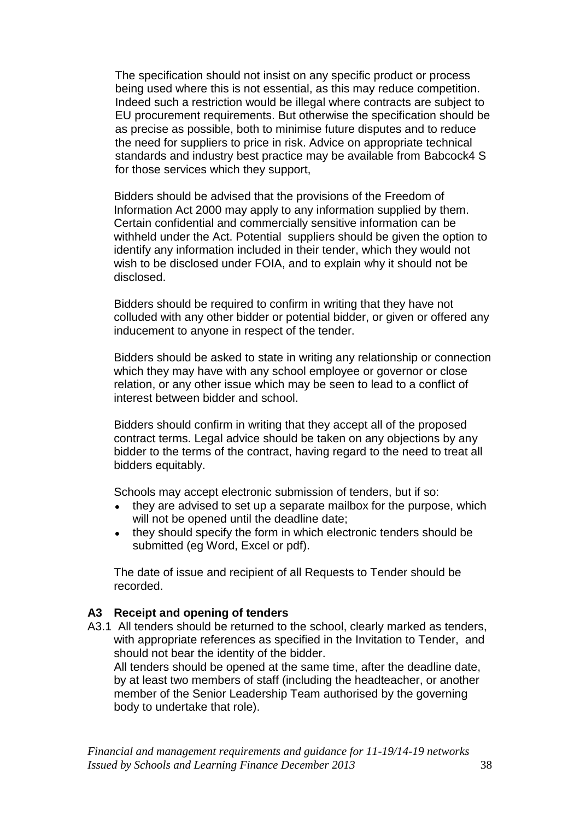The specification should not insist on any specific product or process being used where this is not essential, as this may reduce competition. Indeed such a restriction would be illegal where contracts are subject to EU procurement requirements. But otherwise the specification should be as precise as possible, both to minimise future disputes and to reduce the need for suppliers to price in risk. Advice on appropriate technical standards and industry best practice may be available from Babcock4 S for those services which they support,

Bidders should be advised that the provisions of the Freedom of Information Act 2000 may apply to any information supplied by them. Certain confidential and commercially sensitive information can be withheld under the Act. Potential suppliers should be given the option to identify any information included in their tender, which they would not wish to be disclosed under FOIA, and to explain why it should not be disclosed.

Bidders should be required to confirm in writing that they have not colluded with any other bidder or potential bidder, or given or offered any inducement to anyone in respect of the tender.

Bidders should be asked to state in writing any relationship or connection which they may have with any school employee or governor or close relation, or any other issue which may be seen to lead to a conflict of interest between bidder and school.

Bidders should confirm in writing that they accept all of the proposed contract terms. Legal advice should be taken on any objections by any bidder to the terms of the contract, having regard to the need to treat all bidders equitably.

Schools may accept electronic submission of tenders, but if so:

- they are advised to set up a separate mailbox for the purpose, which will not be opened until the deadline date;
- they should specify the form in which electronic tenders should be submitted (eg Word, Excel or pdf).

The date of issue and recipient of all Requests to Tender should be recorded.

#### **A3 Receipt and opening of tenders**

A3.1All tenders should be returned to the school, clearly marked as tenders, with appropriate references as specified in the Invitation to Tender, and should not bear the identity of the bidder.

All tenders should be opened at the same time, after the deadline date, by at least two members of staff (including the headteacher, or another member of the Senior Leadership Team authorised by the governing body to undertake that role).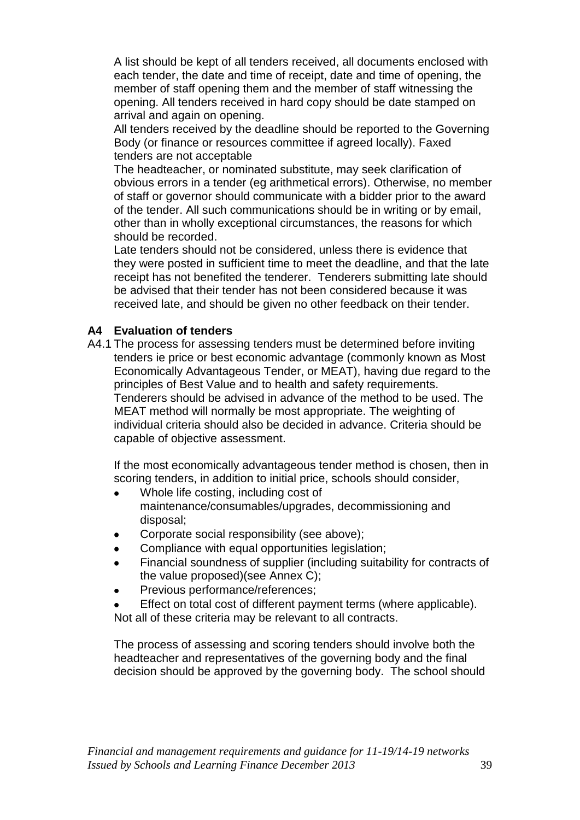A list should be kept of all tenders received, all documents enclosed with each tender, the date and time of receipt, date and time of opening, the member of staff opening them and the member of staff witnessing the opening. All tenders received in hard copy should be date stamped on arrival and again on opening.

All tenders received by the deadline should be reported to the Governing Body (or finance or resources committee if agreed locally). Faxed tenders are not acceptable

The headteacher, or nominated substitute, may seek clarification of obvious errors in a tender (eg arithmetical errors). Otherwise, no member of staff or governor should communicate with a bidder prior to the award of the tender. All such communications should be in writing or by email, other than in wholly exceptional circumstances, the reasons for which should be recorded.

Late tenders should not be considered, unless there is evidence that they were posted in sufficient time to meet the deadline, and that the late receipt has not benefited the tenderer. Tenderers submitting late should be advised that their tender has not been considered because it was received late, and should be given no other feedback on their tender.

### **A4 Evaluation of tenders**

A4.1 The process for assessing tenders must be determined before inviting tenders ie price or best economic advantage (commonly known as Most Economically Advantageous Tender, or MEAT), having due regard to the principles of Best Value and to health and safety requirements. Tenderers should be advised in advance of the method to be used. The MEAT method will normally be most appropriate. The weighting of individual criteria should also be decided in advance. Criteria should be capable of objective assessment.

If the most economically advantageous tender method is chosen, then in scoring tenders, in addition to initial price, schools should consider,

- Whole life costing, including cost of maintenance/consumables/upgrades, decommissioning and disposal;
- Corporate social responsibility (see above);
- Compliance with equal opportunities legislation;
- Financial soundness of supplier (including suitability for contracts of the value proposed)(see Annex C);
- Previous performance/references;
- Effect on total cost of different payment terms (where applicable). Not all of these criteria may be relevant to all contracts.

The process of assessing and scoring tenders should involve both the headteacher and representatives of the governing body and the final decision should be approved by the governing body. The school should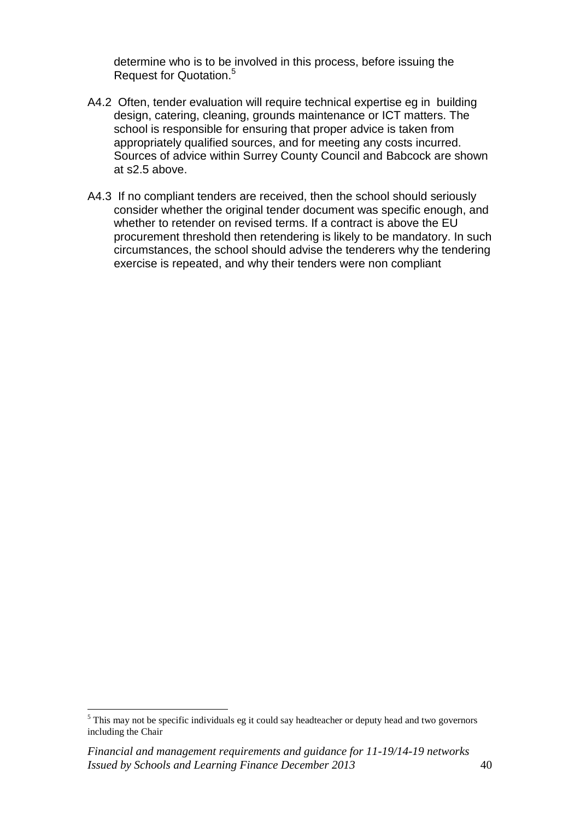determine who is to be involved in this process, before issuing the Request for Quotation.<sup>5</sup>

- A4.2 Often, tender evaluation will require technical expertise eg in building design, catering, cleaning, grounds maintenance or ICT matters. The school is responsible for ensuring that proper advice is taken from appropriately qualified sources, and for meeting any costs incurred. Sources of advice within Surrey County Council and Babcock are shown at s2.5 above.
- A4.3 If no compliant tenders are received, then the school should seriously consider whether the original tender document was specific enough, and whether to retender on revised terms. If a contract is above the EU procurement threshold then retendering is likely to be mandatory. In such circumstances, the school should advise the tenderers why the tendering exercise is repeated, and why their tenders were non compliant

 $\overline{a}$ 

 $<sup>5</sup>$  This may not be specific individuals eg it could say headteacher or deputy head and two governors</sup> including the Chair